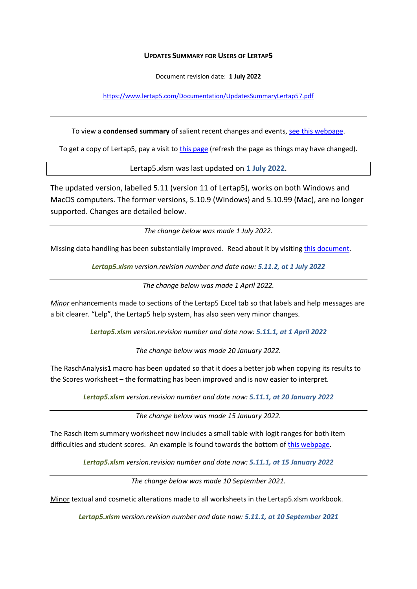## **UPDATES SUMMARY FOR USERS OF LERTAP5**

Document revision date: **1 July 2022**

<https://www.lertap5.com/Documentation/UpdatesSummaryLertap57.pdf>

To view a **condensed summary** of salient recent changes and events[, see this webpage.](https://www.lertap5.com/lertap/index.html?recent_happenings.htm)

To get a copy of Lertap5, pay a visit t[o this page](https://lertap5.com/HTMLHelp/HTML/index.html?how_to_get_lertap.htm) (refresh the page as things may have changed).

Lertap5.xlsm was last updated on **1 July 2022**.

The updated version, labelled 5.11 (version 11 of Lertap5), works on both Windows and MacOS computers. The former versions, 5.10.9 (Windows) and 5.10.99 (Mac), are no longer supported. Changes are detailed below.

*The change below was made 1 July 2022.*

Missing data handling has been substantially improved. Read about it by visiting [this document.](https://www.lertap5.com/Documentation/HighlightingMissingData.pdf)

*Lertap5.xlsm version.revision number and date now: 5.11.2, at 1 July 2022*

*The change below was made 1 April 2022.*

*Minor* enhancements made to sections of the Lertap5 Excel tab so that labels and help messages are a bit clearer. "Lelp", the Lertap5 help system, has also seen very minor changes.

*Lertap5.xlsm version.revision number and date now: 5.11.1, at 1 April 2022*

*The change below was made 20 January 2022.*

The RaschAnalysis1 macro has been updated so that it does a better job when copying its results to the Scores worksheet – the formatting has been improved and is now easier to interpret.

*Lertap5.xlsm version.revision number and date now: 5.11.1, at 20 January 2022*

*The change below was made 15 January 2022.*

The Rasch item summary worksheet now includes a small table with logit ranges for both item difficulties and student scores. An example is found towards the bottom of [this webpage.](https://lertap5.com/HTMLHelp/HTML/index.html?raschanalysis1.htm)

*Lertap5.xlsm version.revision number and date now: 5.11.1, at 15 January 2022*

*The change below was made 10 September 2021.*

Minor textual and cosmetic alterations made to all worksheets in the Lertap5.xlsm workbook.

*Lertap5.xlsm version.revision number and date now: 5.11.1, at 10 September 2021*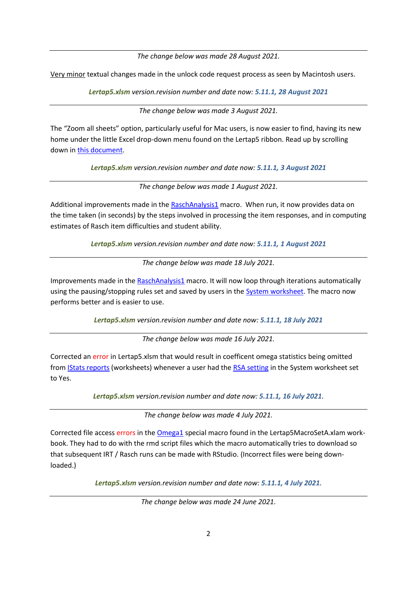*The change below was made 28 August 2021.*

Very minor textual changes made in the unlock code request process as seen by Macintosh users.

*Lertap5.xlsm version.revision number and date now: 5.11.1, 28 August 2021*

*The change below was made 3 August 2021.*

The "Zoom all sheets" option, particularly useful for Mac users, is now easier to find, having its new home under the little Excel drop-down menu found on the Lertap5 ribbon. Read up by scrolling down i[n this document.](http://www.lertap5.com/Documentation/TipsForMacUsers.pdf)

*Lertap5.xlsm version.revision number and date now: 5.11.1, 3 August 2021*

*The change below was made 1 August 2021.*

Additional improvements made in the [RaschAnalysis1](http://lertap5.com/HTMLHelp/HTML/index.html?raschanalysis1.htm) macro. When run, it now provides data on the time taken (in seconds) by the steps involved in processing the item responses, and in computing estimates of Rasch item difficulties and student ability.

*Lertap5.xlsm version.revision number and date now: 5.11.1, 1 August 2021*

*The change below was made 18 July 2021.*

Improvements made in the [RaschAnalysis1](http://lertap5.com/HTMLHelp/HTML/index.html?raschanalysis1.htm) macro. It will now loop through iterations automatically using the pausing/stopping rules set and saved by users in the [System worksheet.](http://lertap5.com/HTMLHelp/HTML/index.html?raschanalysis1steps.htm) The macro now performs better and is easier to use.

*Lertap5.xlsm version.revision number and date now: 5.11.1, 18 July 2021*

*The change below was made 16 July 2021.*

Corrected an error in Lertap5.xlsm that would result in coefficent omega statistics being omitted from [IStats reports](http://lertap5.com/HTMLHelp/HTML/index.html?outputitemscores.htm) (worksheets) whenever a user had the [RSA setting](http://lertap5.com/HTMLHelp/HTML/index.html?responsesimilarityanalysis.htm) in the System worksheet set to Yes.

*Lertap5.xlsm version.revision number and date now: 5.11.1, 16 July 2021.*

*The change below was made 4 July 2021.*

Corrected file access errors in the [Omega1](http://lertap5.com/HTMLHelp/HTML/index.html?omega1.htm) special macro found in the Lertap5MacroSetA.xlam workbook. They had to do with the rmd script files which the macro automatically tries to download so that subsequent IRT / Rasch runs can be made with RStudio. (Incorrect files were being downloaded.)

*Lertap5.xlsm version.revision number and date now: 5.11.1, 4 July 2021.*

*The change below was made 24 June 2021.*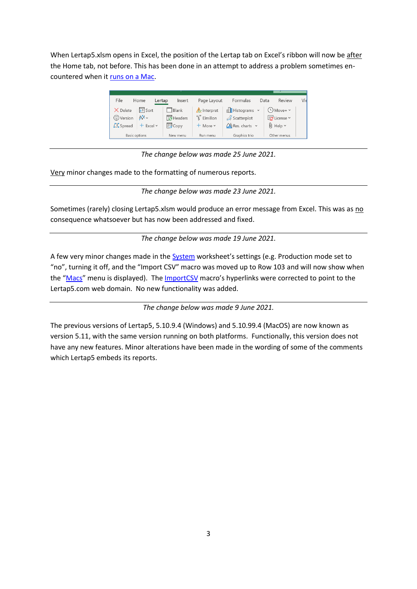When Lertap5.xlsm opens in Excel, the position of the Lertap tab on Excel's ribbon will now be after the Home tab, not before. This has been done in an attempt to address a problem sometimes encountered when it [runs on a Mac.](http://www.lertap5.com/Documentation/MacExcelRibbonProblemMay2021.pdf)



*The change below was made 25 June 2021.*

Very minor changes made to the formatting of numerous reports.

*The change below was made 23 June 2021.*

Sometimes (rarely) closing Lertap5.xlsm would produce an error message from Excel. This was as no consequence whatsoever but has now been addressed and fixed.

*The change below was made 19 June 2021.*

A few very minor changes made in the [System](http://lertap5.com/HTMLHelp/HTML/index.html?productionmode.htm) worksheet's settings (e.g. Production mode set to "no", turning it off, and the "Import CSV" macro was moved up to Row 103 and will now show when the "[Macs](http://lertap5.com/HTMLHelp/HTML/index.html?macs_menu.htm)" menu is displayed). The [ImportCSV](http://lertap5.com/HTMLHelp/HTML/index.html?import-csv-macro.htm) macro's hyperlinks were corrected to point to the Lertap5.com web domain. No new functionality was added.

*The change below was made 9 June 2021.*

The previous versions of Lertap5, 5.10.9.4 (Windows) and 5.10.99.4 (MacOS) are now known as version 5.11, with the same version running on both platforms. Functionally, this version does not have any new features. Minor alterations have been made in the wording of some of the comments which Lertap5 embeds its reports.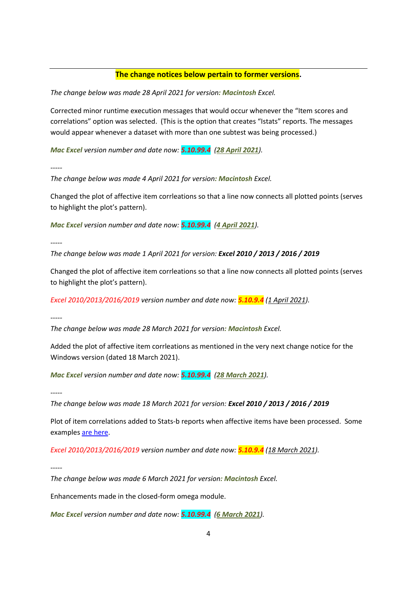# **The change notices below pertain to former versions.**

*The change below was made 28 April 2021 for version: Macintosh Excel.*

Corrected minor runtime execution messages that would occur whenever the "Item scores and correlations" option was selected. (This is the option that creates "Istats" reports. The messages would appear whenever a dataset with more than one subtest was being processed.)

*Mac Excel version number and date now: 5.10.99.4 (28 April 2021).*

*-----*

*The change below was made 4 April 2021 for version: Macintosh Excel.*

Changed the plot of affective item corrleations so that a line now connects all plotted points (serves to highlight the plot's pattern).

*Mac Excel version number and date now: 5.10.99.4 (4 April 2021).*

*-----*

*The change below was made 1 April 2021 for version: Excel 2010 / 2013 / 2016 / 2019*

Changed the plot of affective item corrleations so that a line now connects all plotted points (serves to highlight the plot's pattern).

*Excel 2010/2013/2016/2019 version number and date now: 5.10.9.4 (1 April 2021).*

*-----*

*The change below was made 28 March 2021 for version: Macintosh Excel.*

Added the plot of affective item corrleations as mentioned in the very next change notice for the Windows version (dated 18 March 2021).

*Mac Excel version number and date now: 5.10.99.4 (28 March 2021).*

*-----*

*The change below was made 18 March 2021 for version: Excel 2010 / 2013 / 2016 / 2019*

Plot of item correlations added to Stats-b reports when affective items have been processed. Some examples [are here.](http://lertap5.com/HTMLHelp/HTML/index.html?stats1b-plot-aff.htm)

*Excel 2010/2013/2016/2019 version number and date now: 5.10.9.4 (18 March 2021).*

*-----*

*The change below was made 6 March 2021 for version: Macintosh Excel.*

Enhancements made in the closed-form omega module.

*Mac Excel version number and date now: 5.10.99.4 (6 March 2021).*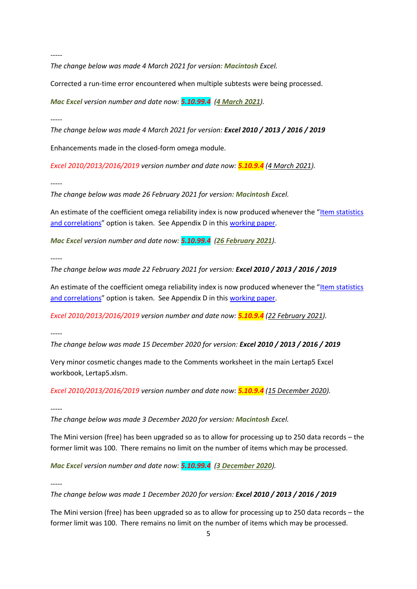*The change below was made 4 March 2021 for version: Macintosh Excel.*

Corrected a run-time error encountered when multiple subtests were being processed.

*Mac Excel version number and date now: 5.10.99.4 (4 March 2021).*

*-----*

*The change below was made 4 March 2021 for version: Excel 2010 / 2013 / 2016 / 2019*

Enhancements made in the closed-form omega module.

*Excel 2010/2013/2016/2019 version number and date now: 5.10.9.4 (4 March 2021).*

*-----*

*The change below was made 26 February 2021 for version: Macintosh Excel.*

An estimate of the coefficient omega reliability index is now produced whenever the "[Item statistics](http://lertap5.com/HTMLHelp/HTML/index.html?outputitemscores.htm)  [and correlations](http://lertap5.com/HTMLHelp/HTML/index.html?outputitemscores.htm)" option is taken. See Appendix D in this [working paper.](http://www.lertap5.com/Documentation/AlphaOmegaSpotTheDifference.pdf)

*Mac Excel version number and date now: 5.10.99.4 (26 February 2021).*

*-----*

*The change below was made 22 February 2021 for version: Excel 2010 / 2013 / 2016 / 2019*

An estimate of the coefficient omega reliability index is now produced whenever the "[Item statistics](http://lertap5.com/HTMLHelp/HTML/index.html?outputitemscores.htm)  [and correlations](http://lertap5.com/HTMLHelp/HTML/index.html?outputitemscores.htm)" option is taken. See Appendix D in this [working paper.](http://www.lertap5.com/Documentation/AlphaOmegaSpotTheDifference.pdf)

*Excel 2010/2013/2016/2019 version number and date now: 5.10.9.4 (22 February 2021).*

*-----*

*The change below was made 15 December 2020 for version: Excel 2010 / 2013 / 2016 / 2019*

Very minor cosmetic changes made to the Comments worksheet in the main Lertap5 Excel workbook, Lertap5.xlsm.

*Excel 2010/2013/2016/2019 version number and date now: 5.10.9.4 (15 December 2020).*

*-----*

*The change below was made 3 December 2020 for version: Macintosh Excel.*

The Mini version (free) has been upgraded so as to allow for processing up to 250 data records – the former limit was 100. There remains no limit on the number of items which may be processed.

*Mac Excel version number and date now: 5.10.99.4 (3 December 2020).*

*-----*

*The change below was made 1 December 2020 for version: Excel 2010 / 2013 / 2016 / 2019*

The Mini version (free) has been upgraded so as to allow for processing up to 250 data records – the former limit was 100. There remains no limit on the number of items which may be processed.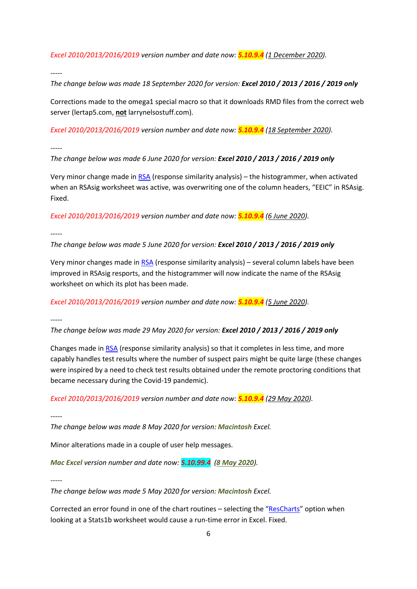*Excel 2010/2013/2016/2019 version number and date now: 5.10.9.4 (1 December 2020).*

*-----*

*The change below was made 18 September 2020 for version: Excel 2010 / 2013 / 2016 / 2019 only*

Corrections made to the omega1 special macro so that it downloads RMD files from the correct web server (lertap5.com, **not** larrynelsostuff.com).

*Excel 2010/2013/2016/2019 version number and date now: 5.10.9.4 (18 September 2020).*

*-----*

*The change below was made 6 June 2020 for version: Excel 2010 / 2013 / 2016 / 2019 only*

Very minor change made in [RSA](http://lertap5.com/HTMLHelp/HTML/index.html?responsesimilarityanalysis.htm) (response similarity analysis) – the histogrammer, when activated when an RSAsig worksheet was active, was overwriting one of the column headers, "EEIC" in RSAsig. Fixed.

*Excel 2010/2013/2016/2019 version number and date now: 5.10.9.4 (6 June 2020).*

*-----*

*The change below was made 5 June 2020 for version: Excel 2010 / 2013 / 2016 / 2019 only*

Very minor changes made i[n RSA](http://lertap5.com/HTMLHelp/HTML/index.html?responsesimilarityanalysis.htm) (response similarity analysis) – several column labels have been improved in RSAsig resports, and the histogrammer will now indicate the name of the RSAsig worksheet on which its plot has been made.

*Excel 2010/2013/2016/2019 version number and date now: 5.10.9.4 (5 June 2020).*

*-----*

*The change below was made 29 May 2020 for version: Excel 2010 / 2013 / 2016 / 2019 only*

Changes made i[n RSA](http://lertap5.com/HTMLHelp/HTML/index.html?responsesimilarityanalysis.htm) (response similarity analysis) so that it completes in less time, and more capably handles test results where the number of suspect pairs might be quite large (these changes were inspired by a need to check test results obtained under the remote proctoring conditions that became necessary during the Covid-19 pandemic).

*Excel 2010/2013/2016/2019 version number and date now: 5.10.9.4 (29 May 2020).*

*-----*

*The change below was made 8 May 2020 for version: Macintosh Excel.*

Minor alterations made in a couple of user help messages.

*Mac Excel version number and date now: 5.10.99.4 (8 May 2020).*

*-----*

*The change below was made 5 May 2020 for version: Macintosh Excel.*

Corrected an error found in one of the chart routines – selecting the "[ResCharts](http://lertap5.com/HTMLHelp/HTML/index.html?responsecharts.htm)" option when looking at a Stats1b worksheet would cause a run-time error in Excel. Fixed.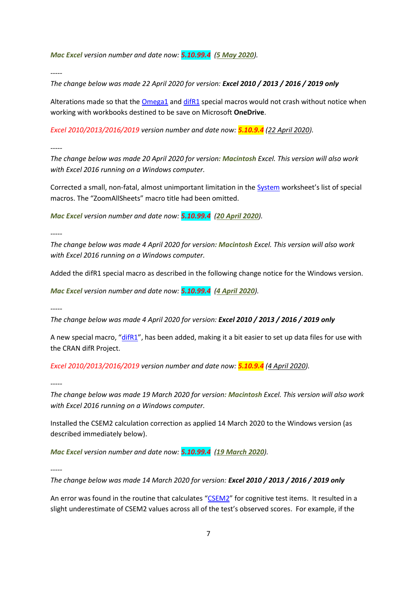*Mac Excel version number and date now: 5.10.99.4 (5 May 2020).*

*-----*

*The change below was made 22 April 2020 for version: Excel 2010 / 2013 / 2016 / 2019 only*

Alterations made so that the  $Omega$  and  $diffR1$  special macros would not crash without notice when working with workbooks destined to be save on Microsoft **OneDrive**.

*Excel 2010/2013/2016/2019 version number and date now: 5.10.9.4 (22 April 2020).*

*-----*

*The change below was made 20 April 2020 for version: Macintosh Excel. This version will also work with Excel 2016 running on a Windows computer.*

Corrected a small, non-fatal, almost unimportant limitation in the [System](http://lertap5.com/HTMLHelp/HTML/index.html?populating-the-macros-lists.htm) worksheet's list of special macros. The "ZoomAllSheets" macro title had been omitted.

*Mac Excel version number and date now: 5.10.99.4 (20 April 2020).*

*-----*

*The change below was made 4 April 2020 for version: Macintosh Excel. This version will also work with Excel 2016 running on a Windows computer.*

Added the difR1 special macro as described in the following change notice for the Windows version.

*Mac Excel version number and date now: 5.10.99.4 (4 April 2020).*

*-----*

*The change below was made 4 April 2020 for version: Excel 2010 / 2013 / 2016 / 2019 only*

A new special macro, "[difR1](http://lertap5.com/HTMLHelp/HTML/index.html?difr.htm)", has been added, making it a bit easier to set up data files for use with the CRAN difR Project.

*Excel 2010/2013/2016/2019 version number and date now: 5.10.9.4 (4 April 2020).*

*-----*

*The change below was made 19 March 2020 for version: Macintosh Excel. This version will also work with Excel 2016 running on a Windows computer.*

Installed the CSEM2 calculation correction as applied 14 March 2020 to the Windows version (as described immediately below).

*Mac Excel version number and date now: 5.10.99.4 (19 March 2020).*

*-----*

*The change below was made 14 March 2020 for version: Excel 2010 / 2013 / 2016 / 2019 only*

An error was found in the routine that calculates "[CSEM2](http://lertap5.com/HTMLHelp/HTML/index.html?conditional_sems.htm)" for cognitive test items. It resulted in a slight underestimate of CSEM2 values across all of the test's observed scores. For example, if the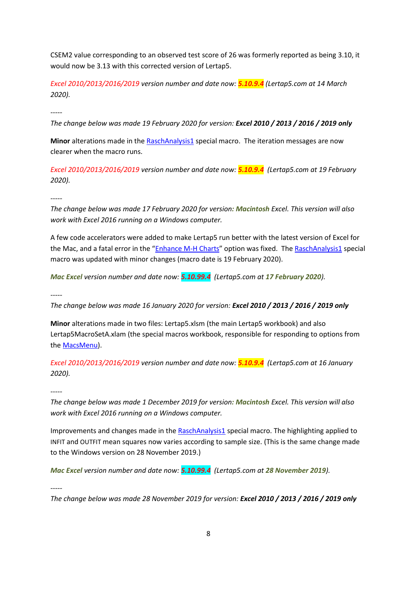CSEM2 value corresponding to an observed test score of 26 was formerly reported as being 3.10, it would now be 3.13 with this corrected version of Lertap5.

*Excel 2010/2013/2016/2019 version number and date now: 5.10.9.4 (Lertap5.com at 14 March 2020).*

*-----*

*The change below was made 19 February 2020 for version: Excel 2010 / 2013 / 2016 / 2019 only*

Minor alterations made in the **RaschAnalysis1** special macro. The iteration messages are now clearer when the macro runs.

*Excel 2010/2013/2016/2019 version number and date now: 5.10.9.4 (Lertap5.com at 19 February 2020).*

*-----*

*The change below was made 17 February 2020 for version: Macintosh Excel. This version will also work with Excel 2016 running on a Windows computer.*

A few code accelerators were added to make Lertap5 run better with the latest version of Excel for the Mac, and a fatal error in the "[Enhance M-H Charts](http://lertap5.com/HTMLHelp/HTML/index.html?enhancemhchart.htm)" option was fixed. The [RaschAnalysis1](http://lertap5.com/HTMLHelp/HTML/index.html?raschanalysis1.htm) special macro was updated with minor changes (macro date is 19 February 2020).

*Mac Excel version number and date now: 5.10.99.4 (Lertap5.com at 17 February 2020).*

*-----*

*The change below was made 16 January 2020 for version: Excel 2010 / 2013 / 2016 / 2019 only*

**Minor** alterations made in two files: Lertap5.xlsm (the main Lertap5 workbook) and also Lertap5MacroSetA.xlam (the special macros workbook, responsible for responding to options from th[e MacsMenu\)](http://lertap5.com/HTMLHelp/HTML/index.html?macs_menu.htm).

*Excel 2010/2013/2016/2019 version number and date now: 5.10.9.4 (Lertap5.com at 16 January 2020).*

*-----*

*The change below was made 1 December 2019 for version: Macintosh Excel. This version will also work with Excel 2016 running on a Windows computer.*

Improvements and changes made in the [RaschAnalysis1](http://lertap5.com/HTMLHelp/HTML/index.html?raschanalysis1.htm) special macro. The highlighting applied to INFIT and OUTFIT mean squares now varies according to sample size. (This is the same change made to the Windows version on 28 November 2019.)

*Mac Excel version number and date now: 5.10.99.4 (Lertap5.com at 28 November 2019).*

*-----*

*The change below was made 28 November 2019 for version: Excel 2010 / 2013 / 2016 / 2019 only*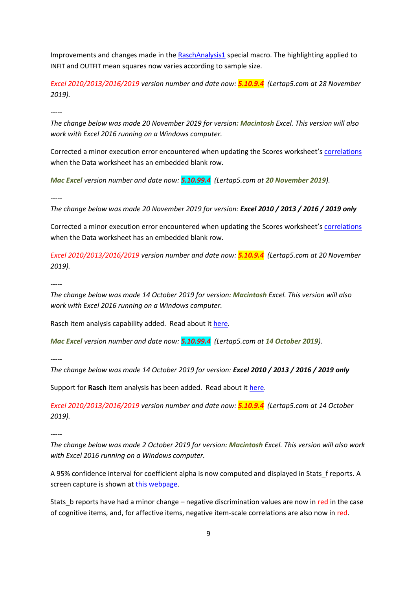Improvements and changes made in the [RaschAnalysis1](http://lertap5.com/HTMLHelp/HTML/index.html?raschanalysis1.htm) special macro. The highlighting applied to INFIT and OUTFIT mean squares now varies according to sample size.

*Excel 2010/2013/2016/2019 version number and date now: 5.10.9.4 (Lertap5.com at 28 November 2019).*

*-----*

*The change below was made 20 November 2019 for version: Macintosh Excel. This version will also work with Excel 2016 running on a Windows computer.*

Corrected a minor execution error encountered when updating the Scores worksheet's [correlations](http://lertap5.com/HTMLHelp/HTML/index.html?updatecorrelations.htm) when the Data worksheet has an embedded blank row.

*Mac Excel version number and date now: 5.10.99.4 (Lertap5.com at 20 November 2019).*

*-----*

*The change below was made 20 November 2019 for version: Excel 2010 / 2013 / 2016 / 2019 only*

Corrected a minor execution error encountered when updating the Scores worksheet's [correlations](http://lertap5.com/HTMLHelp/HTML/index.html?updatecorrelations.htm) when the Data worksheet has an embedded blank row.

*Excel 2010/2013/2016/2019 version number and date now: 5.10.9.4 (Lertap5.com at 20 November 2019).*

*-----*

*The change below was made 14 October 2019 for version: Macintosh Excel. This version will also work with Excel 2016 running on a Windows computer.*

Rasch item analysis capability added. Read about i[t here.](http://lertap5.com/HTMLHelp/HTML/index.html?raschanalysis1.htm)

*Mac Excel version number and date now: 5.10.99.4 (Lertap5.com at 14 October 2019).*

*-----*

*The change below was made 14 October 2019 for version: Excel 2010 / 2013 / 2016 / 2019 only*

Support for **Rasch** item analysis has been added. Read about it [here.](http://lertap5.com/HTMLHelp/HTML/index.html?raschanalysis1.htm)

*Excel 2010/2013/2016/2019 version number and date now: 5.10.9.4 (Lertap5.com at 14 October 2019).*

*-----*

*The change below was made 2 October 2019 for version: Macintosh Excel. This version will also work with Excel 2016 running on a Windows computer.*

A 95% confidence interval for coefficient alpha is now computed and displayed in Stats\_f reports. A screen capture is shown a[t this webpage.](http://lertap5.com/HTMLHelp/HTML/index.html?summary_item_stats.htm)

Stats b reports have had a minor change – negative discrimination values are now in red in the case of cognitive items, and, for affective items, negative item-scale correlations are also now in red.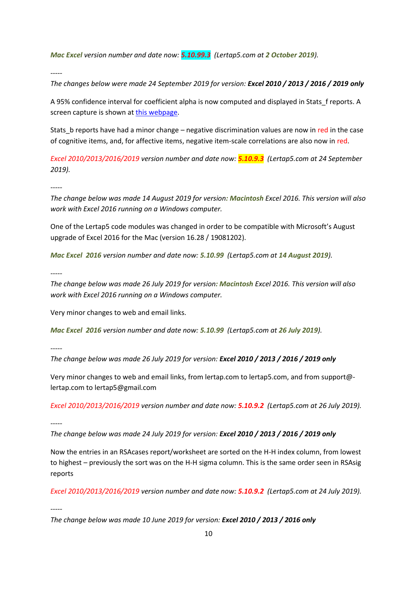*Mac Excel version number and date now: 5.10.99.3 (Lertap5.com at 2 October 2019).*

*-----*

*The changes below were made 24 September 2019 for version: Excel 2010 / 2013 / 2016 / 2019 only*

A 95% confidence interval for coefficient alpha is now computed and displayed in Stats\_f reports. A screen capture is shown a[t this webpage.](http://lertap5.com/HTMLHelp/HTML/index.html?summary_item_stats.htm)

Stats b reports have had a minor change – negative discrimination values are now in red in the case of cognitive items, and, for affective items, negative item-scale correlations are also now in red.

*Excel 2010/2013/2016/2019 version number and date now: 5.10.9.3 (Lertap5.com at 24 September 2019).*

*-----*

*The change below was made 14 August 2019 for version: Macintosh Excel 2016. This version will also work with Excel 2016 running on a Windows computer.*

One of the Lertap5 code modules was changed in order to be compatible with Microsoft's August upgrade of Excel 2016 for the Mac (version 16.28 / 19081202).

*Mac Excel 2016 version number and date now: 5.10.99 (Lertap5.com at 14 August 2019).*

*-----*

*The change below was made 26 July 2019 for version: Macintosh Excel 2016. This version will also work with Excel 2016 running on a Windows computer.*

Very minor changes to web and email links.

*Mac Excel 2016 version number and date now: 5.10.99 (Lertap5.com at 26 July 2019).*

*-----*

*The change below was made 26 July 2019 for version: Excel 2010 / 2013 / 2016 / 2019 only*

Very minor changes to web and email links, from lertap.com to lertap5.com, and from support@ lertap.com to lertap5@gmail.com

*Excel 2010/2013/2016/2019 version number and date now: 5.10.9.2 (Lertap5.com at 26 July 2019).*

*-----*

*The change below was made 24 July 2019 for version: Excel 2010 / 2013 / 2016 / 2019 only*

Now the entries in an RSAcases report/worksheet are sorted on the H-H index column, from lowest to highest – previously the sort was on the H-H sigma column. This is the same order seen in RSAsig reports

*Excel 2010/2013/2016/2019 version number and date now: 5.10.9.2 (Lertap5.com at 24 July 2019).*

*-----*

*The change below was made 10 June 2019 for version: Excel 2010 / 2013 / 2016 only*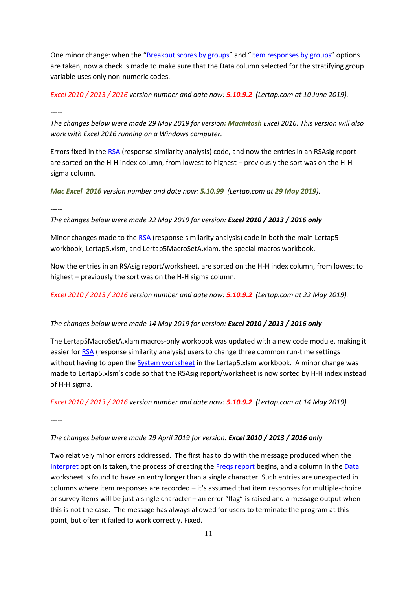One minor change: when the "[Breakout scores by groups](http://lertap5.com/HTMLHelp/HTML/index.html?breakouts.htm)" and "[Item responses by groups](http://lertap5.com/HTMLHelp/HTML/index.html?ibreaks.htm)" options are taken, now a check is made to make sure that the Data column selected for the stratifying group variable uses only non-numeric codes.

*Excel 2010 / 2013 / 2016 version number and date now: 5.10.9.2 (Lertap.com at 10 June 2019).*

*-----*

*The changes below were made 29 May 2019 for version: Macintosh Excel 2016. This version will also work with Excel 2016 running on a Windows computer.*

Errors fixed in the [RSA](http://lertap5.com/HTMLHelp/HTML/index.html?responsesimilarityanalysis.htm) (response similarity analysis) code, and now the entries in an RSAsig report are sorted on the H-H index column, from lowest to highest – previously the sort was on the H-H sigma column.

*Mac Excel 2016 version number and date now: 5.10.99 (Lertap.com at 29 May 2019).*

*-----*

*The changes below were made 22 May 2019 for version: Excel 2010 / 2013 / 2016 only*

Minor changes made to the [RSA](http://lertap5.com/HTMLHelp/HTML/index.html?responsesimilarityanalysis.htm) (response similarity analysis) code in both the main Lertap5 workbook, Lertap5.xlsm, and Lertap5MacroSetA.xlam, the special macros workbook.

Now the entries in an RSAsig report/worksheet, are sorted on the H-H index column, from lowest to highest – previously the sort was on the H-H sigma column.

*Excel 2010 / 2013 / 2016 version number and date now: 5.10.9.2 (Lertap.com at 22 May 2019).*

*-----*

*The changes below were made 14 May 2019 for version: Excel 2010 / 2013 / 2016 only*

The Lertap5MacroSetA.xlam macros-only workbook was updated with a new code module, making it easier for [RSA](http://lertap5.com/HTMLHelp/HTML/index.html?responsesimilarityanalysis.htm) (response similarity analysis) users to change three common run-time settings without having to open the [System worksheet](http://lertap5.com/HTMLHelp/HTML/systemworksheet.htm) in the Lertap5.xlsm workbook. A minor change was made to Lertap5.xlsm's code so that the RSAsig report/worksheet is now sorted by H-H index instead of H-H sigma.

*Excel 2010 / 2013 / 2016 version number and date now: 5.10.9.2 (Lertap.com at 14 May 2019).*

*-----*

*The changes below were made 29 April 2019 for version: Excel 2010 / 2013 / 2016 only*

Two relatively minor errors addressed. The first has to do with the message produced when the [Interpret](http://lertap5.com/HTMLHelp/HTML/index.html?interpretccslines.htm) option is taken, the process of creating the [Freqs report](http://lertap5.com/HTMLHelp/HTML/index.html?freqs.htm) begins, and a column in th[e Data](http://lertap5.com/HTMLHelp/HTML/index.html?lertapworkbookdefined.htm) worksheet is found to have an entry longer than a single character. Such entries are unexpected in columns where item responses are recorded – it's assumed that item responses for multiple-choice or survey items will be just a single character – an error "flag" is raised and a message output when this is not the case. The message has always allowed for users to terminate the program at this point, but often it failed to work correctly. Fixed.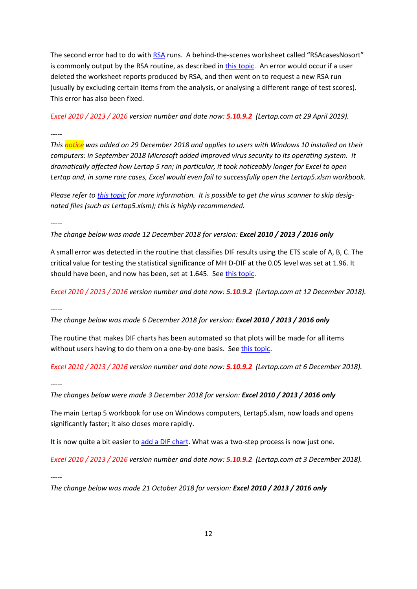The second error had to do wit[h RSA](http://lertap5.com/HTMLHelp/HTML/index.html?responsesimilarityanalysis.htm) runs. A behind-the-scenes worksheet called "RSAcasesNosort" is commonly output by the RSA routine, as described i[n this topic.](http://lertap5.com/HTMLHelp/HTML/index.html?defrsacasesnosort.htm) An error would occur if a user deleted the worksheet reports produced by RSA, and then went on to request a new RSA run (usually by excluding certain items from the analysis, or analysing a different range of test scores). This error has also been fixed.

*Excel 2010 / 2013 / 2016 version number and date now: 5.10.9.2 (Lertap.com at 29 April 2019).*

*This notice was added on 29 December 2018 and applies to users with Windows 10 installed on their computers: in September 2018 Microsoft added improved virus security to its operating system. It dramatically affected how Lertap 5 ran; in particular, it took noticeably longer for Excel to open Lertap and, in some rare cases, Excel would even fail to successfully open the Lertap5.xlsm workbook.*

*Please refer to [this topic](http://www.larrynelsonstuff.com/HTMLHelp/HTML/index.html?antimalware-scan.htm) for more information. It is possible to get the virus scanner to skip designated files (such as Lertap5.xlsm); this is highly recommended.*

*-----*

*-----*

*The change below was made 12 December 2018 for version: Excel 2010 / 2013 / 2016 only*

A small error was detected in the routine that classifies DIF results using the ETS scale of A, B, C. The critical value for testing the statistical significance of MH D-DIF at the 0.05 level was set at 1.96. It should have been, and now has been, set at 1.645. Se[e this topic.](http://www.larrynelsonstuff.com/HTMLHelp/HTML/index.html?dif.htm)

*Excel 2010 / 2013 / 2016 version number and date now: 5.10.9.2 (Lertap.com at 12 December 2018).*

*-----*

*The change below was made 6 December 2018 for version: Excel 2010 / 2013 / 2016 only*

The routine that makes DIF charts has been automated so that plots will be made for all items without users having to do them on a one-by-one basis. See [this topic.](http://www.larrynelsonstuff.com/HTMLHelp/HTML/index.html?enhancemhchart.htm)

*Excel 2010 / 2013 / 2016 version number and date now: 5.10.9.2 (Lertap.com at 6 December 2018).*

*-----*

*The changes below were made 3 December 2018 for version: Excel 2010 / 2013 / 2016 only*

The main Lertap 5 workbook for use on Windows computers, Lertap5.xlsm, now loads and opens significantly faster; it also closes more rapidly.

It is now quite a bit easier t[o add a DIF chart.](http://www.larrynelsonstuff.com/HTMLHelp/HTML/index.html?enhancemhchart.htm) What was a two-step process is now just one.

*Excel 2010 / 2013 / 2016 version number and date now: 5.10.9.2 (Lertap.com at 3 December 2018).*

*-----*

*The change below was made 21 October 2018 for version: Excel 2010 / 2013 / 2016 only*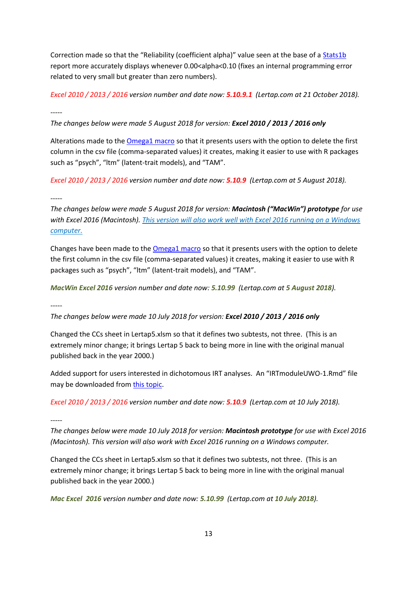Correction made so that the "Reliability (coefficient alpha)" value seen at the base of a [Stats1b](http://www.larrynelsonstuff.com/HTMLHelp/HTML/index.html?stats1b.htm) report more accurately displays whenever 0.00<alpha<0.10 (fixes an internal programming error related to very small but greater than zero numbers).

*Excel 2010 / 2013 / 2016 version number and date now: 5.10.9.1 (Lertap.com at 21 October 2018).*

*-----*

*The changes below were made 5 August 2018 for version: Excel 2010 / 2013 / 2016 only*

Alterations made to the **Omega1 macro** so that it presents users with the option to delete the first column in the csv file (comma-separated values) it creates, making it easier to use with R packages such as "psych", "ltm" (latent-trait models), and "TAM".

*Excel 2010 / 2013 / 2016 version number and date now: 5.10.9 (Lertap.com at 5 August 2018).*

*-----*

*The changes below were made 5 August 2018 for version: Macintosh ("MacWin") prototype for use with Excel 2016 (Macintosh). This version will also work well with Excel 2016 running on a Windows computer.*

Changes have been made to the **Omega1 macro** so that it presents users with the option to delete the first column in the csv file (comma-separated values) it creates, making it easier to use with R packages such as "psych", "ltm" (latent-trait models), and "TAM".

*MacWin Excel 2016 version number and date now: 5.10.99 (Lertap.com at 5 August 2018).*

*-----*

*The changes below were made 10 July 2018 for version: Excel 2010 / 2013 / 2016 only*

Changed the CCs sheet in Lertap5.xlsm so that it defines two subtests, not three. (This is an extremely minor change; it brings Lertap 5 back to being more in line with the original manual published back in the year 2000.)

Added support for users interested in dichotomous IRT analyses. An "IRTmoduleUWO-1.Rmd" file may be downloaded from [this topic.](http://www.larrynelsonstuff.com/HTMLHelp/HTML/index.html?irt-with-tam.htm)

*Excel 2010 / 2013 / 2016 version number and date now: 5.10.9 (Lertap.com at 10 July 2018).*

*-----*

*The changes below were made 10 July 2018 for version: Macintosh prototype for use with Excel 2016 (Macintosh). This version will also work with Excel 2016 running on a Windows computer.*

Changed the CCs sheet in Lertap5.xlsm so that it defines two subtests, not three. (This is an extremely minor change; it brings Lertap 5 back to being more in line with the original manual published back in the year 2000.)

*Mac Excel 2016 version number and date now: 5.10.99 (Lertap.com at 10 July 2018).*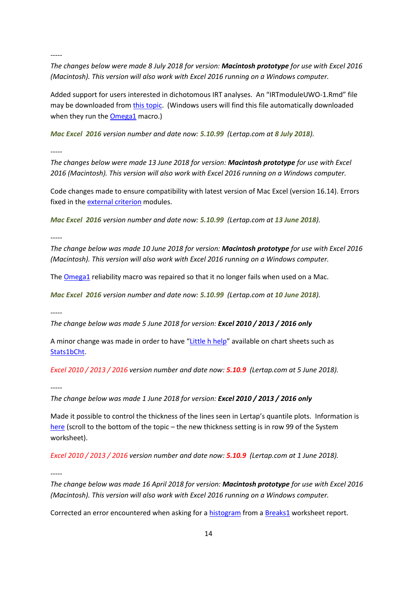*The changes below were made 8 July 2018 for version: Macintosh prototype for use with Excel 2016 (Macintosh). This version will also work with Excel 2016 running on a Windows computer.*

Added support for users interested in dichotomous IRT analyses. An "IRTmoduleUWO-1.Rmd" file may be downloaded from [this topic.](http://www.larrynelsonstuff.com/HTMLHelp/HTML/index.html?irt-with-tam.htm) (Windows users will find this file automatically downloaded when they run the **Omega1** macro.)

*Mac Excel 2016 version number and date now: 5.10.99 (Lertap.com at 8 July 2018).*

*-----*

*The changes below were made 13 June 2018 for version: Macintosh prototype for use with Excel 2016 (Macintosh). This version will also work with Excel 2016 running on a Windows computer.*

Code changes made to ensure compatibility with latest version of Mac Excel (version 16.14). Errors fixed in the *external criterion* modules.

*Mac Excel 2016 version number and date now: 5.10.99 (Lertap.com at 13 June 2018).*

*-----*

*The change below was made 10 June 2018 for version: Macintosh prototype for use with Excel 2016 (Macintosh). This version will also work with Excel 2016 running on a Windows computer.*

The **Omega1** reliability macro was repaired so that it no longer fails when used on a Mac.

*Mac Excel 2016 version number and date now: 5.10.99 (Lertap.com at 10 June 2018).*

*-----*

*The change below was made 5 June 2018 for version: Excel 2010 / 2013 / 2016 only*

A minor change was made in order to have "[Little h help](http://www.larrynelsonstuff.com/lertap/index.html?context-sensitive-help.htm)" available on chart sheets such as [Stats1bCht.](http://larrynelsonstuff.com/HTMLHelp/HTML/index.html?unidimensionalresponsecharts.htm)

*Excel 2010 / 2013 / 2016 version number and date now: 5.10.9 (Lertap.com at 5 June 2018).*

*-----*

*The change below was made 1 June 2018 for version: Excel 2010 / 2013 / 2016 only*

Made it possible to control the thickness of the lines seen in Lertap's quantile plots. Information is [here](http://www.larrynelsonstuff.com/HTMLHelp/HTML/index.html?additional_quintile_options.htm) (scroll to the bottom of the topic – the new thickness setting is in row 99 of the System worksheet).

*Excel 2010 / 2013 / 2016 version number and date now: 5.10.9 (Lertap.com at 1 June 2018).*

*-----*

*The change below was made 16 April 2018 for version: Macintosh prototype for use with Excel 2016 (Macintosh). This version will also work with Excel 2016 running on a Windows computer.*

Corrected an error encountered when asking for a [histogram](http://www.larrynelsonstuff.com/HTMLHelp/HTML/index.html?histogram.htm) from [a Breaks1](http://www.larrynelsonstuff.com/HTMLHelp/HTML/index.html?breakouts.htm) worksheet report.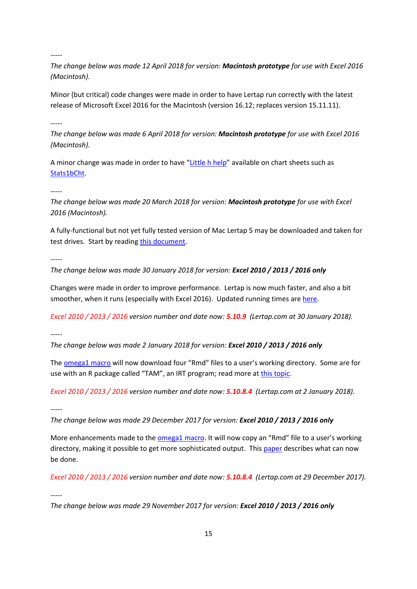*The change below was made 12 April 2018 for version: Macintosh prototype for use with Excel 2016 (Macintosh).*

Minor (but critical) code changes were made in order to have Lertap run correctly with the latest release of Microsoft Excel 2016 for the Macintosh (version 16.12; replaces version 15.11.11).

*-----*

*The change below was made 6 April 2018 for version: Macintosh prototype for use with Excel 2016 (Macintosh).*

A minor change was made in order to have "[Little h help](http://www.larrynelsonstuff.com/lertap/index.html?context-sensitive-help.htm)" available on chart sheets such as [Stats1bCht.](http://larrynelsonstuff.com/HTMLHelp/HTML/index.html?unidimensionalresponsecharts.htm)

*-----*

*The change below was made 20 March 2018 for version: Macintosh prototype for use with Excel 2016 (Macintosh).*

A fully-functional but not yet fully tested version of Mac Lertap 5 may be downloaded and taken for test drives. Start by reading [this document.](http://www.larrynelsonstuff.com/Documentation/ReadMeMacWin.pdf)

*-----*

*The change below was made 30 January 2018 for version: Excel 2010 / 2013 / 2016 only*

Changes were made in order to improve performance. Lertap is now much faster, and also a bit smoother, when it runs (especially with Excel 2016). Updated running times are [here.](http://www.larrynelsonstuff.com/Documentation/TimeTrials2010to2013.pdf)

*Excel 2010 / 2013 / 2016 version number and date now: 5.10.9 (Lertap.com at 30 January 2018).*

*-----*

*The change below was made 2 January 2018 for version: Excel 2010 / 2013 / 2016 only*

The **omega1** macro will now download four "Rmd" files to a user's working directory. Some are for use with an R package called "TAM", an IRT program; read more a[t this topic.](http://www.larrynelsonstuff.com/HTMLHelp/HTML/index.html?irt-with-tam.htm)

*Excel 2010 / 2013 / 2016 version number and date now: 5.10.8.4 (Lertap.com at 2 January 2018).*

*-----*

*The change below was made 29 December 2017 for version: Excel 2010 / 2013 / 2016 only*

More enhancements made to the **omega1 macro**. It will now copy an "Rmd" file to a user's working directory, making it possible to get more sophisticated output. Thi[s paper](http://www.larrynelsonstuff.com/Documentation/Using-R-With-Lertap-5.pdf) describes what can now be done.

*Excel 2010 / 2013 / 2016 version number and date now: 5.10.8.4 (Lertap.com at 29 December 2017).*

*-----*

*The change below was made 29 November 2017 for version: Excel 2010 / 2013 / 2016 only*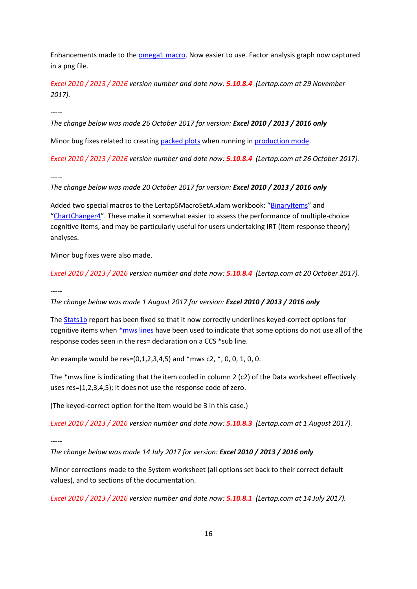Enhancements made to the **omega1 macro**. Now easier to use. Factor analysis graph now captured in a png file.

*Excel 2010 / 2013 / 2016 version number and date now: 5.10.8.4 (Lertap.com at 29 November 2017).*

*-----*

*The change below was made 26 October 2017 for version: Excel 2010 / 2013 / 2016 only*

Minor bug fixes related to creating [packed plots](http://www.larrynelsonstuff.com/HTMLHelp/HTML/index.html?chartchangers.htm) when running i[n production mode.](http://www.larrynelsonstuff.com/HTMLHelp/HTML/index.html?productionmode.htm)

*Excel 2010 / 2013 / 2016 version number and date now: 5.10.8.4 (Lertap.com at 26 October 2017).*

*-----*

*The change below was made 20 October 2017 for version: Excel 2010 / 2013 / 2016 only*

Added two special macros to the Lertap5MacroSetA.xlam workbook: "[BinaryItems](http://www.larrynelsonstuff.com/HTMLHelp/HTML/index.html?binary-items.htm)" and "[ChartChanger4](http://www.larrynelsonstuff.com/HTMLHelp/HTML/index.html?chartchanger4.htm)". These make it somewhat easier to assess the performance of multiple-choice cognitive items, and may be particularly useful for users undertaking IRT (item response theory) analyses.

Minor bug fixes were also made.

*Excel 2010 / 2013 / 2016 version number and date now: 5.10.8.4 (Lertap.com at 20 October 2017).*

*-----*

*The change below was made 1 August 2017 for version: Excel 2010 / 2013 / 2016 only*

The [Stats1b](http://www.larrynelsonstuff.com/HTMLHelp/HTML/index.html?stats1b.htm) report has been fixed so that it now correctly underlines keyed-correct options for cognitive items whe[n \\*mws lines](http://www.larrynelsonstuff.com/HTMLHelp/HTML/index.html?ccsdetails.htm) have been used to indicate that some options do not use all of the response codes seen in the res= declaration on a CCS \*sub line.

An example would be res=(0,1,2,3,4,5) and \*mws c2, \*, 0, 0, 1, 0, 0.

The \*mws line is indicating that the item coded in column 2 (c2) of the Data worksheet effectively uses res=(1,2,3,4,5); it does not use the response code of zero.

(The keyed-correct option for the item would be 3 in this case.)

*Excel 2010 / 2013 / 2016 version number and date now: 5.10.8.3 (Lertap.com at 1 August 2017).*

*-----*

*The change below was made 14 July 2017 for version: Excel 2010 / 2013 / 2016 only*

Minor corrections made to the System worksheet (all options set back to their correct default values), and to sections of the documentation.

*Excel 2010 / 2013 / 2016 version number and date now: 5.10.8.1 (Lertap.com at 14 July 2017).*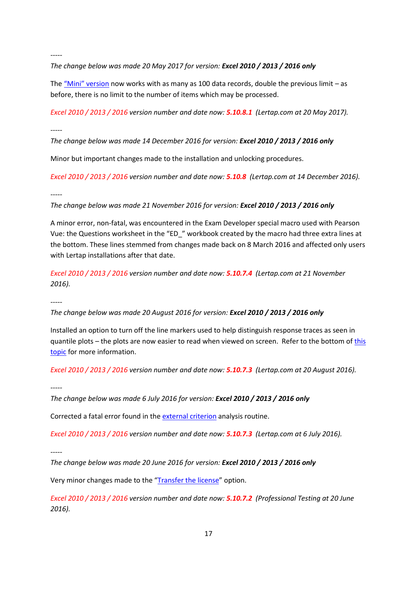*The change below was made 20 May 2017 for version: Excel 2010 / 2013 / 2016 only*

The  $Mini''$  version now works with as many as 100 data records, double the previous limit – as before, there is no limit to the number of items which may be processed.

*Excel 2010 / 2013 / 2016 version number and date now: 5.10.8.1 (Lertap.com at 20 May 2017).*

*-----*

*The change below was made 14 December 2016 for version: Excel 2010 / 2013 / 2016 only*

Minor but important changes made to the installation and unlocking procedures.

*Excel 2010 / 2013 / 2016 version number and date now: 5.10.8 (Lertap.com at 14 December 2016).*

*-----*

*The change below was made 21 November 2016 for version: Excel 2010 / 2013 / 2016 only*

A minor error, non-fatal, was encountered in the Exam Developer special macro used with Pearson Vue: the Questions worksheet in the "ED\_" workbook created by the macro had three extra lines at the bottom. These lines stemmed from changes made back on 8 March 2016 and affected only users with Lertap installations after that date.

*Excel 2010 / 2013 / 2016 version number and date now: 5.10.7.4 (Lertap.com at 21 November 2016).*

*-----*

*The change below was made 20 August 2016 for version: Excel 2010 / 2013 / 2016 only*

Installed an option to turn off the line markers used to help distinguish response traces as seen in quantile plots – the plots are now easier to read when viewed on screen. Refer to the bottom of [this](http://www.larrynelsonstuff.com/HTMLHelp/HTML/index.html?response_charts_toggles.htm)  [topic](http://www.larrynelsonstuff.com/HTMLHelp/HTML/index.html?response_charts_toggles.htm) for more information.

*Excel 2010 / 2013 / 2016 version number and date now: 5.10.7.3 (Lertap.com at 20 August 2016).*

*-----*

*The change below was made 6 July 2016 for version: Excel 2010 / 2013 / 2016 only*

Corrected a fatal error found in th[e external criterion](http://www.larrynelsonstuff.com/HTMLHelp/HTML/index.html?externalcriterion.htm) analysis routine.

*Excel 2010 / 2013 / 2016 version number and date now: 5.10.7.3 (Lertap.com at 6 July 2016).*

*-----*

*The change below was made 20 June 2016 for version: Excel 2010 / 2013 / 2016 only*

Very minor changes made to the "[Transfer the license](http://127.0.0.1/C:/Users/LP/Dropbox/MyStuff/Lertap/Sites(Dreamweaver)/Lertap/HTMLHelp/HTML/index.html?setuplicensetransfer.htm)" option.

*Excel 2010 / 2013 / 2016 version number and date now: 5.10.7.2 (Professional Testing at 20 June 2016).*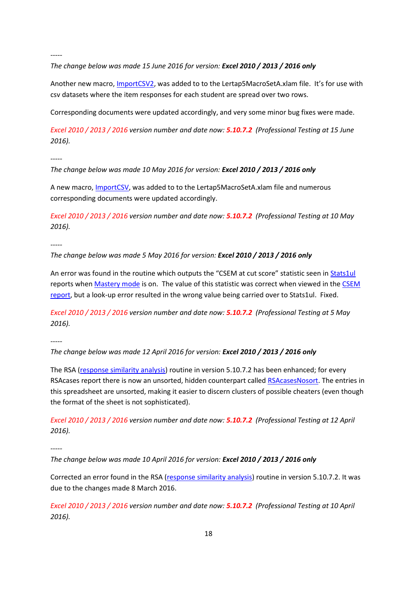# *The change below was made 15 June 2016 for version: Excel 2010 / 2013 / 2016 only*

Another new macro, *ImportCSV2*, was added to to the Lertap5MacroSetA.xlam file. It's for use with csv datasets where the item responses for each student are spread over two rows.

Corresponding documents were updated accordingly, and very some minor bug fixes were made.

*Excel 2010 / 2013 / 2016 version number and date now: 5.10.7.2 (Professional Testing at 15 June 2016).*

*-----*

*The change below was made 10 May 2016 for version: Excel 2010 / 2013 / 2016 only*

A new macro, [ImportCSV,](http://www.larrynelsonstuff.com/HTMLHelp/HTML/index.html?import-csv-macro.htm) was added to to the Lertap5MacroSetA.xlam file and numerous corresponding documents were updated accordingly.

*Excel 2010 / 2013 / 2016 version number and date now: 5.10.7.2 (Professional Testing at 10 May 2016).*

*-----*

*The change below was made 5 May 2016 for version: Excel 2010 / 2013 / 2016 only*

An error was found in the routine which outputs the "CSEM at cut score" statistic seen in [Stats1ul](http://www.larrynelsonstuff.com/HTMLHelp/HTML/index.html?stats1ul.htm) reports whe[n Mastery mode](http://www.larrynelsonstuff.com/HTMLHelp/HTML/index.html?stats1ulmastery.htm) is on. The value of this statistic was correct when viewed in th[e CSEM](http://www.larrynelsonstuff.com/HTMLHelp/HTML/index.html?conditional_sems.htm)  [report,](http://www.larrynelsonstuff.com/HTMLHelp/HTML/index.html?conditional_sems.htm) but a look-up error resulted in the wrong value being carried over to Stats1ul. Fixed.

*Excel 2010 / 2013 / 2016 version number and date now: 5.10.7.2 (Professional Testing at 5 May 2016).*

*-----*

*The change below was made 12 April 2016 for version: Excel 2010 / 2013 / 2016 only*

The RSA [\(response similarity analysis\)](http://www.larrynelsonstuff.com/HTMLHelp/HTML/index.html?responsesimilarityanalysis.htm) routine in version 5.10.7.2 has been enhanced; for every RSAcases report there is now an unsorted, hidden counterpart called [RSAcasesNosort.](http://www.larrynelsonstuff.com/HTMLHelp/HTML/index.html?defrsacasesnosort.htm) The entries in this spreadsheet are unsorted, making it easier to discern clusters of possible cheaters (even though the format of the sheet is not sophisticated).

*Excel 2010 / 2013 / 2016 version number and date now: 5.10.7.2 (Professional Testing at 12 April 2016).*

*-----*

*The change below was made 10 April 2016 for version: Excel 2010 / 2013 / 2016 only*

Corrected an error found in the RSA [\(response similarity analysis\)](http://www.larrynelsonstuff.com/HTMLHelp/HTML/index.html?responsesimilarityanalysis.htm) routine in version 5.10.7.2. It was due to the changes made 8 March 2016.

*Excel 2010 / 2013 / 2016 version number and date now: 5.10.7.2 (Professional Testing at 10 April 2016).*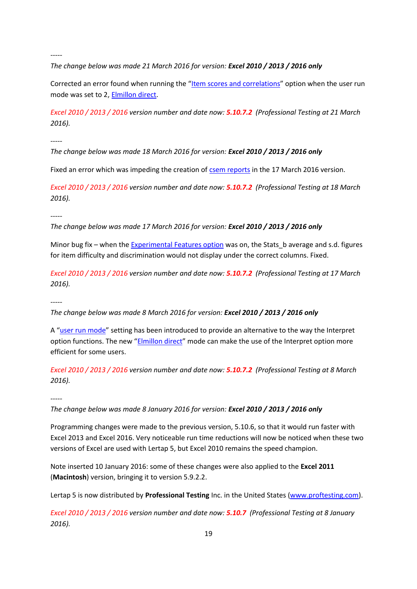*The change below was made 21 March 2016 for version: Excel 2010 / 2013 / 2016 only*

Corrected an error found when running the "[Item scores and correlations](http://www.larrynelsonstuff.com/HTMLHelp/HTML/index.html?outputitemscores.htm)" option when the user run mode was set to 2, **Elmillon direct**.

*Excel 2010 / 2013 / 2016 version number and date now: 5.10.7.2 (Professional Testing at 21 March 2016).*

*-----*

*The change below was made 18 March 2016 for version: Excel 2010 / 2013 / 2016 only*

Fixed an error which was impeding the creation of [csem reports](http://www.larrynelsonstuff.com/HTMLHelp/HTML/index.html?conditional_sems.htm) in the 17 March 2016 version.

*Excel 2010 / 2013 / 2016 version number and date now: 5.10.7.2 (Professional Testing at 18 March 2016).*

*-----*

*The change below was made 17 March 2016 for version: Excel 2010 / 2013 / 2016 only*

Minor bug fix – when the [Experimental Features option](http://www.larrynelsonstuff.com/Documentation/ExperimentalFeatures.htm) was on, the Stats b average and s.d. figures for item difficulty and discrimination would not display under the correct columns. Fixed.

*Excel 2010 / 2013 / 2016 version number and date now: 5.10.7.2 (Professional Testing at 17 March 2016).*

*-----*

*The change below was made 8 March 2016 for version: Excel 2010 / 2013 / 2016 only*

A "[user run mode](http://www.larrynelsonstuff.com/HTMLHelp/HTML/index.html?user-run-mode.htm)" setting has been introduced to provide an alternative to the way the Interpret option functions. The new "[Elmillon direct](http://www.larrynelsonstuff.com/HTMLHelp/HTML/index.html?elmillon-direct.htm)" mode can make the use of the Interpret option more efficient for some users.

*Excel 2010 / 2013 / 2016 version number and date now: 5.10.7.2 (Professional Testing at 8 March 2016).*

*-----*

*The change below was made 8 January 2016 for version: Excel 2010 / 2013 / 2016 only*

Programming changes were made to the previous version, 5.10.6, so that it would run faster with Excel 2013 and Excel 2016. Very noticeable run time reductions will now be noticed when these two versions of Excel are used with Lertap 5, but Excel 2010 remains the speed champion.

Note inserted 10 January 2016: some of these changes were also applied to the **Excel 2011** (**Macintosh**) version, bringing it to version 5.9.2.2.

Lertap 5 is now distributed by **Professional Testing** Inc. in the United States [\(www.proftesting.com\)](file:///C:/Users/larry/Dropbox/MyStuff/Lertap/Sites(Dreamweaver)/Lertap/Lrtp%20Docs/www.proftesting.com).

*Excel 2010 / 2013 / 2016 version number and date now: 5.10.7 (Professional Testing at 8 January 2016).*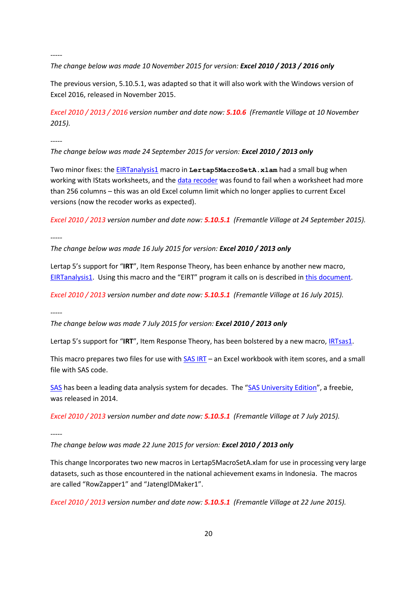*The change below was made 10 November 2015 for version: Excel 2010 / 2013 / 2016 only*

The previous version, 5.10.5.1, was adapted so that it will also work with the Windows version of Excel 2016, released in November 2015.

*Excel 2010 / 2013 / 2016 version number and date now: 5.10.6 (Fremantle Village at 10 November 2015).*

*-----*

*The change below was made 24 September 2015 for version: Excel 2010 / 2013 only*

Two minor fixes: the [EIRTanalysis1](http://www.larrynelsonstuff.com/HTMLHelp/HTML/index.html?eirtanalysis1.htm) macro in **Lertap5MacroSetA.xlam** had a small bug when working with IStats worksheets, and th[e data recoder](http://www.larrynelsonstuff.com/HTMLHelp/HTML/index.html?recode.htm) was found to fail when a worksheet had more than 256 columns – this was an old Excel column limit which no longer applies to current Excel versions (now the recoder works as expected).

*Excel 2010 / 2013 version number and date now: 5.10.5.1 (Fremantle Village at 24 September 2015).*

*-----*

*The change below was made 16 July 2015 for version: Excel 2010 / 2013 only*

Lertap 5's support for "**IRT**", Item Response Theory, has been enhance by another new macro, [EIRTanalysis1.](http://www.larrynelsonstuff.com/HTMLHelp/HTML/index.html?eirtanalysis1.htm) Using this macro and the "EIRT" program it calls on is described in [this document.](http://www.larrynelsonstuff.com/Documentation/IRTinLertap5.pdf)

*Excel 2010 / 2013 version number and date now: 5.10.5.1 (Fremantle Village at 16 July 2015).*

*-----*

*The change below was made 7 July 2015 for version: Excel 2010 / 2013 only*

Lertap 5's support for "IRT", Item Response Theory, has been bolstered by a new macro, **IRTsas1**.

This macro prepares two files for use with [SAS IRT](http://support.sas.com/documentation/cdl/en/statug/67523/HTML/default/viewer.htm#statug_irt_gettingstarted.htm) – an Excel workbook with item scores, and a small file with SAS code.

[SAS](http://www.sas.com/) has been a leading data analysis system for decades. The "[SAS University Edition](http://www.sas.com/en_us/software/university-edition.html)", a freebie, was released in 2014.

*Excel 2010 / 2013 version number and date now: 5.10.5.1 (Fremantle Village at 7 July 2015).*

*-----*

*The change below was made 22 June 2015 for version: Excel 2010 / 2013 only*

This change Incorporates two new macros in Lertap5MacroSetA.xlam for use in processing very large datasets, such as those encountered in the national achievement exams in Indonesia. The macros are called "RowZapper1" and "JatengIDMaker1".

*Excel 2010 / 2013 version number and date now: 5.10.5.1 (Fremantle Village at 22 June 2015).*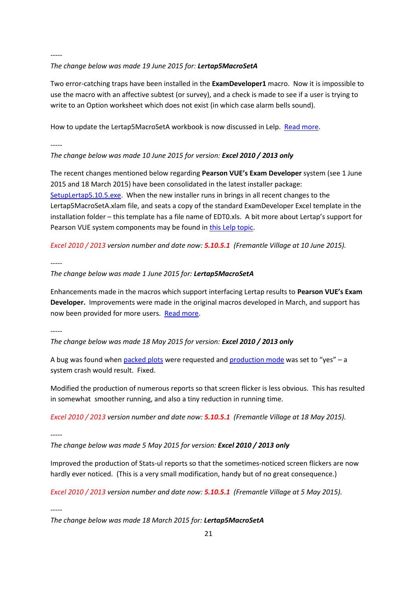## *The change below was made 19 June 2015 for: Lertap5MacroSetA*

Two error-catching traps have been installed in the **ExamDeveloper1** macro. Now it is impossible to use the macro with an affective subtest (or survey), and a check is made to see if a user is trying to write to an Option worksheet which does not exist (in which case alarm bells sound).

How to update the Lertap5MacroSetA workbook is now discussed in Lelp. [Read more.](http://www.larrynelsonstuff.com/HTMLHelp/HTML/index.html?lertap5macroseta.htm)

*-----*

## *The change below was made 10 June 2015 for version: Excel 2010 / 2013 only*

The recent changes mentioned below regarding **Pearson VUE's Exam Developer** system (see 1 June 2015 and 18 March 2015) have been consolidated in the latest installer package: [SetupLertap5.10.5.exe.](http://www.larrynelsonstuff.com/Software/SetupLertap5105.exe) When the new installer runs in brings in all recent changes to the Lertap5MacroSetA.xlam file, and seats a copy of the standard ExamDeveloper Excel template in the installation folder – this template has a file name of EDT0.xls. A bit more about Lertap's support for Pearson VUE system components may be found in [this Lelp topic.](http://larrynelsonstuff.com/HTMLHelp/HTML/index.html?pearsonvue.htm)

*Excel 2010 / 2013 version number and date now: 5.10.5.1 (Fremantle Village at 10 June 2015).*

*-----*

## *The change below was made 1 June 2015 for: Lertap5MacroSetA*

Enhancements made in the macros which support interfacing Lertap results to **Pearson VUE's Exam Developer.** Improvements were made in the original macros developed in March, and support has now been provided for more users. [Read more.](#page-33-0)

*-----*

### *The change below was made 18 May 2015 for version: Excel 2010 / 2013 only*

A bug was found whe[n packed plots](http://www.larrynelsonstuff.com/HTMLHelp/HTML/index.html?stats1ul.htm) were requested and [production mode](http://www.larrynelsonstuff.com/HTMLHelp/HTML/index.html?productionmode.htm) was set to "yes" - a system crash would result. Fixed.

Modified the production of numerous reports so that screen flicker is less obvious. This has resulted in somewhat smoother running, and also a tiny reduction in running time.

*Excel 2010 / 2013 version number and date now: 5.10.5.1 (Fremantle Village at 18 May 2015).*

*-----*

*The change below was made 5 May 2015 for version: Excel 2010 / 2013 only*

Improved the production of Stats-ul reports so that the sometimes-noticed screen flickers are now hardly ever noticed. (This is a very small modification, handy but of no great consequence.)

*Excel 2010 / 2013 version number and date now: 5.10.5.1 (Fremantle Village at 5 May 2015).*

*-----*

*The change below was made 18 March 2015 for: Lertap5MacroSetA*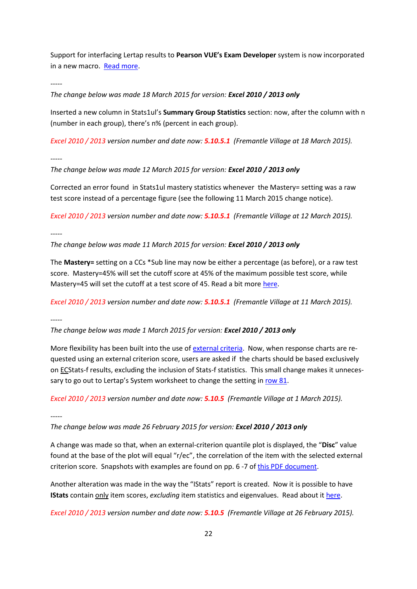Support for interfacing Lertap results to **Pearson VUE's Exam Developer** system is now incorporated in a new macro. [Read more.](#page-33-0)

*-----*

*The change below was made 18 March 2015 for version: Excel 2010 / 2013 only*

Inserted a new column in Stats1ul's **Summary Group Statistics** section: now, after the column with n (number in each group), there's n% (percent in each group).

*Excel 2010 / 2013 version number and date now: 5.10.5.1 (Fremantle Village at 18 March 2015).*

*-----*

*The change below was made 12 March 2015 for version: Excel 2010 / 2013 only*

Corrected an error found in Stats1ul mastery statistics whenever the Mastery= setting was a raw test score instead of a percentage figure (see the following 11 March 2015 change notice).

*Excel 2010 / 2013 version number and date now: 5.10.5.1 (Fremantle Village at 12 March 2015).*

*-----*

*The change below was made 11 March 2015 for version: Excel 2010 / 2013 only*

The **Mastery=** setting on a CCs \*Sub line may now be either a percentage (as before), or a raw test score. Mastery=45% will set the cutoff score at 45% of the maximum possible test score, while Mastery=45 will set the cutoff at a test score of 45. Read a bit more [here.](http://www.larrynelsonstuff.com/HTMLHelp/HTML/index.html?stats1ulmastery.htm)

*Excel 2010 / 2013 version number and date now: 5.10.5.1 (Fremantle Village at 11 March 2015).*

*-----*

*The change below was made 1 March 2015 for version: Excel 2010 / 2013 only*

More flexibility has been built into the use of [external criteria.](http://www.larrynelsonstuff.com/HTMLHelp/HTML/index.html?externalcriterion.htm) Now, when response charts are requested using an external criterion score, users are asked if the charts should be based exclusively on ECStats-f results, excluding the inclusion of Stats-f statistics. This small change makes it unnecessary to go out to Lertap's System worksheet to change the setting i[n row 81.](http://www.larrynelsonstuff.com/HTMLHelp/HTML/index.html?additional_quintile_options.htm)

*Excel 2010 / 2013 version number and date now: 5.10.5 (Fremantle Village at 1 March 2015).*

*-----*

*The change below was made 26 February 2015 for version: Excel 2010 / 2013 only*

A change was made so that, when an external-criterion quantile plot is displayed, the "**Disc**" value found at the base of the plot will equal "r/ec", the correlation of the item with the selected external criterion score. Snapshots with examples are found on pp. 6 -7 of [this PDF document.](http://www.larrynelsonstuff.com/Documentation/ItemResponsePlotsWithVersion5_10_5.pdf)

Another alteration was made in the way the "IStats" report is created. Now it is possible to have **IStats** contain only item scores, *excluding* item statistics and eigenvalues. Read about i[t here.](http://www.larrynelsonstuff.com/HTMLHelp/HTML/index.html?outputitemscores.htm)

*Excel 2010 / 2013 version number and date now: 5.10.5 (Fremantle Village at 26 February 2015).*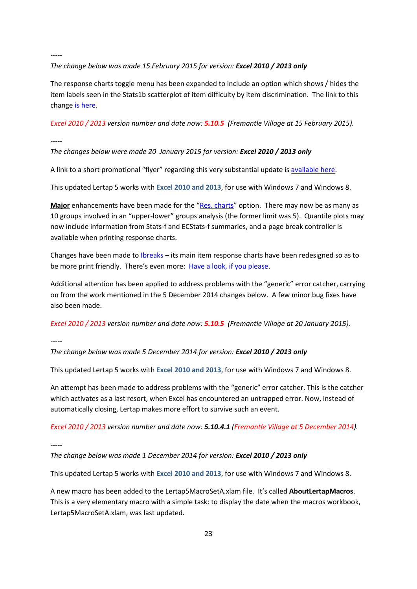## *The change below was made 15 February 2015 for version: Excel 2010 / 2013 only*

The response charts toggle menu has been expanded to include an option which shows / hides the item labels seen in the Stats1b scatterplot of item difficulty by item discrimination. The link to this chang[e is here.](http://www.larrynelsonstuff.com/HTMLHelp/HTML/index.html?response_charts_toggles.htm)

*Excel 2010 / 2013 version number and date now: 5.10.5 (Fremantle Village at 15 February 2015).*

*-----*

# *The changes below were made 20 January 2015 for version: Excel 2010 / 2013 only*

A link to a short promotional "flyer" regarding this very substantial update i[s available here.](http://www.larrynelsonstuff.com/Documentation/Lertap5105availableGrp1.pdf)

This updated Lertap 5 works with **Excel 2010 and 2013**, for use with Windows 7 and Windows 8.

**Major** enhancements have been made for the "[Res. charts](http://www.larrynelsonstuff.com/HTMLHelp/HTML/index.html?responsecharts.htm)" option. There may now be as many as 10 groups involved in an "upper-lower" groups analysis (the former limit was 5). Quantile plots may now include information from Stats-f and ECStats-f summaries, and a page break controller is available when printing response charts.

Changes have been made to [Ibreaks](http://www.larrynelsonstuff.com/HTMLHelp/HTML/index.html?ibreaks.htm) – its main item response charts have been redesigned so as to be more print friendly. There's even more: [Have a look, if you please.](http://www.larrynelsonstuff.com/Documentation/ItemResponsePlotsWithVersion5_10_5.pdf)

Additional attention has been applied to address problems with the "generic" error catcher, carrying on from the work mentioned in the 5 December 2014 changes below. A few minor bug fixes have also been made.

*Excel 2010 / 2013 version number and date now: 5.10.5 (Fremantle Village at 20 January 2015).*

*-----*

*The change below was made 5 December 2014 for version: Excel 2010 / 2013 only*

This updated Lertap 5 works with **Excel 2010 and 2013**, for use with Windows 7 and Windows 8.

An attempt has been made to address problems with the "generic" error catcher. This is the catcher which activates as a last resort, when Excel has encountered an untrapped error. Now, instead of automatically closing, Lertap makes more effort to survive such an event.

*Excel 2010 / 2013 version number and date now: 5.10.4.1 (Fremantle Village at 5 December 2014).*

*-----*

*The change below was made 1 December 2014 for version: Excel 2010 / 2013 only*

This updated Lertap 5 works with **Excel 2010 and 2013**, for use with Windows 7 and Windows 8.

A new macro has been added to the Lertap5MacroSetA.xlam file. It's called **AboutLertapMacros**. This is a very elementary macro with a simple task: to display the date when the macros workbook, Lertap5MacroSetA.xlam, was last updated.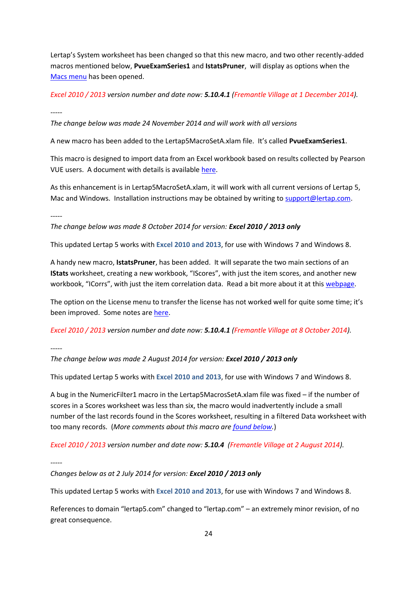Lertap's System worksheet has been changed so that this new macro, and two other recently-added macros mentioned below, **PvueExamSeries1** and **IstatsPruner**, will display as options when the [Macs menu](http://larrynelsonstuff.com/HTMLHelp/HTML/index.html?macs_menu.htm) has been opened.

*Excel 2010 / 2013 version number and date now: 5.10.4.1 (Fremantle Village at 1 December 2014).*

*-----*

*The change below was made 24 November 2014 and will work with all versions*

A new macro has been added to the Lertap5MacroSetA.xlam file. It's called **PvueExamSeries1**.

This macro is designed to import data from an Excel workbook based on results collected by Pearson VUE users. A document with details is availabl[e here.](http://www.larrynelsonstuff.com/Documentation/PearsonVUELertapMacros1.pdf)

As this enhancement is in Lertap5MacroSetA.xlam, it will work with all current versions of Lertap 5, Mac and Windows. Installation instructions may be obtained by writing to [support@lertap.com.](mailto:support@lertap.com)

*-----*

*The change below was made 8 October 2014 for version: Excel 2010 / 2013 only*

This updated Lertap 5 works with **Excel 2010 and 2013**, for use with Windows 7 and Windows 8.

A handy new macro, **IstatsPruner**, has been added. It will separate the two main sections of an **IStats** worksheet, creating a new workbook, "IScores", with just the item scores, and another new workbook, "ICorrs", with just the item correlation data. Read a bit more about it at this [webpage.](http://larrynelsonstuff.com/HTMLHelp/HTML/index.html?istatspruner.htm)

The option on the License menu to transfer the license has not worked well for quite some time; it's been improved. Some notes are [here.](http://larrynelsonstuff.com/HTMLHelp/HTML/index.html?setuplicensetransfer.htm)

*Excel 2010 / 2013 version number and date now: 5.10.4.1 (Fremantle Village at 8 October 2014).*

*-----*

*The change below was made 2 August 2014 for version: Excel 2010 / 2013 only*

This updated Lertap 5 works with **Excel 2010 and 2013**, for use with Windows 7 and Windows 8.

A bug in the NumericFilter1 macro in the Lertap5MacrosSetA.xlam file was fixed – if the number of scores in a Scores worksheet was less than six, the macro would inadvertently include a small number of the last records found in the Scores worksheet, resulting in a filtered Data worksheet with too many records. (*More comments about this macro are [found below.](#page-32-0)*)

*Excel 2010 / 2013 version number and date now: 5.10.4 (Fremantle Village at 2 August 2014).*

*-----*

*Changes below as at 2 July 2014 for version: Excel 2010 / 2013 only*

This updated Lertap 5 works with **Excel 2010 and 2013**, for use with Windows 7 and Windows 8.

References to domain "lertap5.com" changed to "lertap.com" – an extremely minor revision, of no great consequence.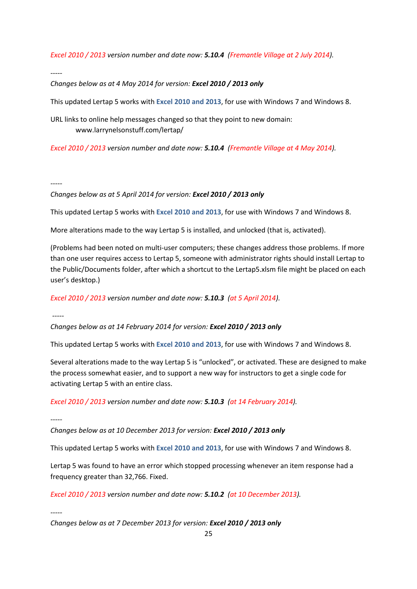*Excel 2010 / 2013 version number and date now: 5.10.4 (Fremantle Village at 2 July 2014).*

*-----*

*Changes below as at 4 May 2014 for version: Excel 2010 / 2013 only*

This updated Lertap 5 works with **Excel 2010 and 2013**, for use with Windows 7 and Windows 8.

URL links to online help messages changed so that they point to new domain: www.larrynelsonstuff.com/lertap/

*Excel 2010 / 2013 version number and date now: 5.10.4 (Fremantle Village at 4 May 2014).*

### *-----*

## *Changes below as at 5 April 2014 for version: Excel 2010 / 2013 only*

This updated Lertap 5 works with **Excel 2010 and 2013**, for use with Windows 7 and Windows 8.

More alterations made to the way Lertap 5 is installed, and unlocked (that is, activated).

(Problems had been noted on multi-user computers; these changes address those problems. If more than one user requires access to Lertap 5, someone with administrator rights should install Lertap to the Public/Documents folder, after which a shortcut to the Lertap5.xlsm file might be placed on each user's desktop.)

*Excel 2010 / 2013 version number and date now: 5.10.3 (at 5 April 2014).*

*-----*

*Changes below as at 14 February 2014 for version: Excel 2010 / 2013 only*

This updated Lertap 5 works with **Excel 2010 and 2013**, for use with Windows 7 and Windows 8.

Several alterations made to the way Lertap 5 is "unlocked", or activated. These are designed to make the process somewhat easier, and to support a new way for instructors to get a single code for activating Lertap 5 with an entire class.

*Excel 2010 / 2013 version number and date now: 5.10.3 (at 14 February 2014).*

*-----*

*Changes below as at 10 December 2013 for version: Excel 2010 / 2013 only*

This updated Lertap 5 works with **Excel 2010 and 2013**, for use with Windows 7 and Windows 8.

Lertap 5 was found to have an error which stopped processing whenever an item response had a frequency greater than 32,766. Fixed.

*Excel 2010 / 2013 version number and date now: 5.10.2 (at 10 December 2013).*

*-----*

*Changes below as at 7 December 2013 for version: Excel 2010 / 2013 only*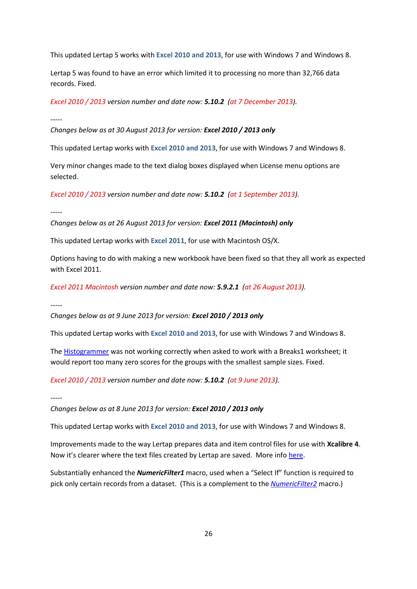This updated Lertap 5 works with **Excel 2010 and 2013**, for use with Windows 7 and Windows 8.

Lertap 5 was found to have an error which limited it to processing no more than 32,766 data records. Fixed.

*Excel 2010 / 2013 version number and date now: 5.10.2 (at 7 December 2013).*

*-----*

*Changes below as at 30 August 2013 for version: Excel 2010 / 2013 only*

This updated Lertap works with **Excel 2010 and 2013**, for use with Windows 7 and Windows 8.

Very minor changes made to the text dialog boxes displayed when License menu options are selected.

*Excel 2010 / 2013 version number and date now: 5.10.2 (at 1 September 2013).*

*-----*

*Changes below as at 26 August 2013 for version: Excel 2011 (Macintosh) only*

This updated Lertap works with **Excel 2011**, for use with Macintosh OS/X.

Options having to do with making a new workbook have been fixed so that they all work as expected with Excel 2011.

*Excel 2011 Macintosh version number and date now: 5.9.2.1 (at 26 August 2013).*

*-----*

*Changes below as at 9 June 2013 for version: Excel 2010 / 2013 only*

This updated Lertap works with **Excel 2010 and 2013**, for use with Windows 7 and Windows 8.

The [Histogrammer](http://lertap.curtin.edu.au/HTMLHelp/HTML/index.html?histogram.htm) was not working correctly when asked to work with a Breaks1 worksheet; it would report too many zero scores for the groups with the smallest sample sizes. Fixed.

*Excel 2010 / 2013 version number and date now: 5.10.2 (at 9 June 2013).*

*-----*

*Changes below as at 8 June 2013 for version: Excel 2010 / 2013 only*

This updated Lertap works with **Excel 2010 and 2013**, for use with Windows 7 and Windows 8.

Improvements made to the way Lertap prepares data and item control files for use with **Xcalibre 4**. Now it's clearer where the text files created by Lertap are saved. More info [here.](http://lertap.curtin.edu.au/HTMLHelp/Lrtp59HTML/index.html?exporttoxcalibre_4_1.htm)

Substantially enhanced the *NumericFilter1* macro, used when a "Select If" function is required to pick only certain records from a dataset. (This is a complement to the *[NumericFilter2](http://lertap.curtin.edu.au/HTMLHelp/HTML/index.html?numericfilter2.htm)* macro.)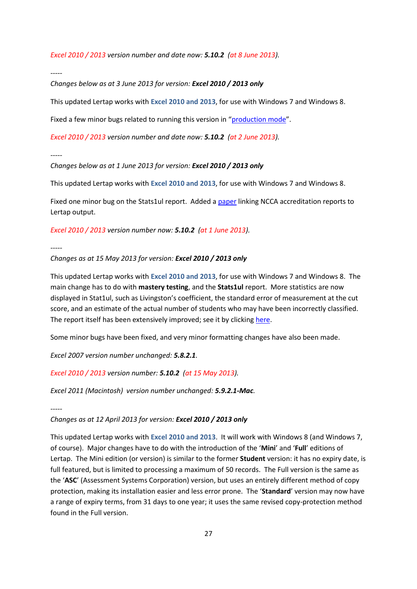*Excel 2010 / 2013 version number and date now: 5.10.2 (at 8 June 2013).*

*-----*

*Changes below as at 3 June 2013 for version: Excel 2010 / 2013 only*

This updated Lertap works with **Excel 2010 and 2013**, for use with Windows 7 and Windows 8.

Fixed a few minor bugs related to running this version in "[production mode](http://lertap.curtin.edu.au/HTMLHelp/HTML/index.html?productionmode.htm)".

*Excel 2010 / 2013 version number and date now: 5.10.2 (at 2 June 2013).*

*-----*

*Changes below as at 1 June 2013 for version: Excel 2010 / 2013 only*

This updated Lertap works with **Excel 2010 and 2013**, for use with Windows 7 and Windows 8.

Fixed one minor bug on the Stats1ul report. Added [a paper](http://lertap.curtin.edu.au/Documentation/NCCAReportDetails&LertapOutput.pdf) linking NCCA accreditation reports to Lertap output.

*Excel 2010 / 2013 version number now: 5.10.2 (at 1 June 2013).*

*-----*

*Changes as at 15 May 2013 for version: Excel 2010 / 2013 only*

This updated Lertap works with **Excel 2010 and 2013**, for use with Windows 7 and Windows 8. The main change has to do with **mastery testing**, and the **Stats1ul** report. More statistics are now displayed in Stat1ul, such as Livingston's coefficient, the standard error of measurement at the cut score, and an estimate of the actual number of students who may have been incorrectly classified. The report itself has been extensively improved; see it by clicking [here.](http://lertap.curtin.edu.au/HTMLHelp/HTML/index.html?stats1ulmastery.htm)

Some minor bugs have been fixed, and very minor formatting changes have also been made.

*Excel 2007 version number unchanged: 5.8.2.1.*

*Excel 2010 / 2013 version number: 5.10.2 (at 15 May 2013).*

*Excel 2011 (Macintosh) version number unchanged: 5.9.2.1-Mac.*

*-----*

*Changes as at 12 April 2013 for version: Excel 2010 / 2013 only*

This updated Lertap works with **Excel 2010 and 2013**. It will work with Windows 8 (and Windows 7, of course). Major changes have to do with the introduction of the '**Mini**' and '**Full**' editions of Lertap. The Mini edition (or version) is similar to the former **Student** version: it has no expiry date, is full featured, but is limited to processing a maximum of 50 records. The Full version is the same as the '**ASC**' (Assessment Systems Corporation) version, but uses an entirely different method of copy protection, making its installation easier and less error prone. The '**Standard**' version may now have a range of expiry terms, from 31 days to one year; it uses the same revised copy-protection method found in the Full version.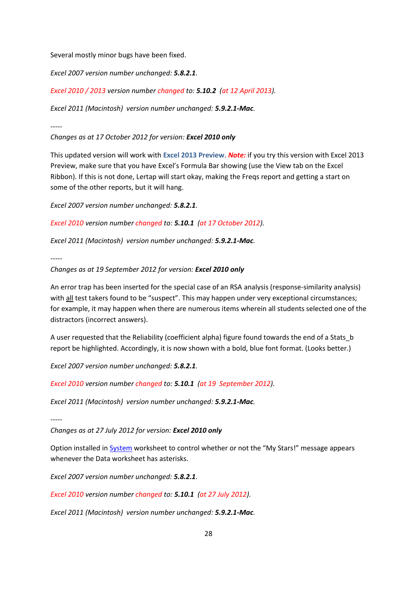Several mostly minor bugs have been fixed.

*Excel 2007 version number unchanged: 5.8.2.1.*

*Excel 2010 / 2013 version number changed to: 5.10.2 (at 12 April 2013).*

*Excel 2011 (Macintosh) version number unchanged: 5.9.2.1-Mac.*

*-----*

*Changes as at 17 October 2012 for version: Excel 2010 only*

This updated version will work with **Excel 2013 Preview**. *Note:* if you try this version with Excel 2013 Preview, make sure that you have Excel's Formula Bar showing (use the View tab on the Excel Ribbon). If this is not done, Lertap will start okay, making the Freqs report and getting a start on some of the other reports, but it will hang.

*Excel 2007 version number unchanged: 5.8.2.1.*

*Excel 2010 version number changed to: 5.10.1 (at 17 October 2012).*

*Excel 2011 (Macintosh) version number unchanged: 5.9.2.1-Mac.*

*-----*

*Changes as at 19 September 2012 for version: Excel 2010 only*

An error trap has been inserted for the special case of an RSA analysis (response-similarity analysis) with all test takers found to be "suspect". This may happen under very exceptional circumstances; for example, it may happen when there are numerous items wherein all students selected one of the distractors (incorrect answers).

A user requested that the Reliability (coefficient alpha) figure found towards the end of a Stats\_b report be highlighted. Accordingly, it is now shown with a bold, blue font format. (Looks better.)

*Excel 2007 version number unchanged: 5.8.2.1.*

*Excel 2010 version number changed to: 5.10.1 (at 19 September 2012).*

*Excel 2011 (Macintosh) version number unchanged: 5.9.2.1-Mac.*

*-----*

*Changes as at 27 July 2012 for version: Excel 2010 only*

Option installed i[n System](http://lertap.curtin.edu.au/HTMLHelp/HTML/index.html?defsystemworksheet.htm) worksheet to control whether or not the "My Stars!" message appears whenever the Data worksheet has asterisks.

*Excel 2007 version number unchanged: 5.8.2.1.*

*Excel 2010 version number changed to: 5.10.1 (at 27 July 2012).*

*Excel 2011 (Macintosh) version number unchanged: 5.9.2.1-Mac.*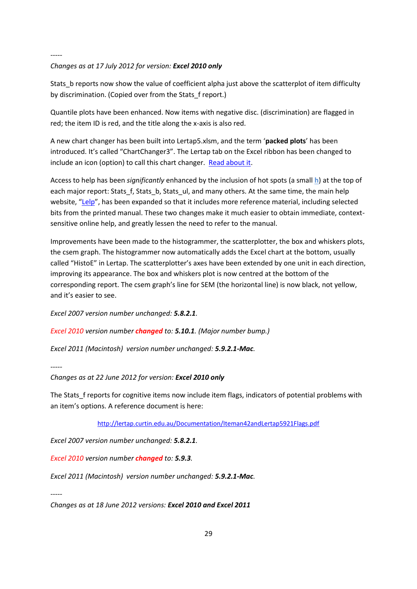## *Changes as at 17 July 2012 for version: Excel 2010 only*

Stats\_b reports now show the value of coefficient alpha just above the scatterplot of item difficulty by discrimination. (Copied over from the Stats\_f report.)

Quantile plots have been enhanced. Now items with negative disc. (discrimination) are flagged in red; the item ID is red, and the title along the x-axis is also red.

A new chart changer has been built into Lertap5.xlsm, and the term '**packed plots**' has been introduced. It's called "ChartChanger3". The Lertap tab on the Excel ribbon has been changed to include an icon (option) to call this chart changer. [Read about it.](http://lertap.curtin.edu.au/HTMLHelp/HTML/index.html?chartchangers.htm)

Access to help has been *significantly* enhanced by the inclusion of hot spots (a small **h**) at the top of each major report: Stats\_f, Stats\_b, Stats\_ul, and many others. At the same time, the main help website, "[Lelp](http://lertap.curtin.edu.au/HTMLHelp/HTML/index.html)", has been expanded so that it includes more reference material, including selected bits from the printed manual. These two changes make it much easier to obtain immediate, contextsensitive online help, and greatly lessen the need to refer to the manual.

Improvements have been made to the histogrammer, the scatterplotter, the box and whiskers plots, the csem graph. The histogrammer now automatically adds the Excel chart at the bottom, usually called "HistoE" in Lertap. The scatterplotter's axes have been extended by one unit in each direction, improving its appearance. The box and whiskers plot is now centred at the bottom of the corresponding report. The csem graph's line for SEM (the horizontal line) is now black, not yellow, and it's easier to see.

*Excel 2007 version number unchanged: 5.8.2.1.*

*Excel 2010 version number changed to: 5.10.1. (Major number bump.)*

*Excel 2011 (Macintosh) version number unchanged: 5.9.2.1-Mac.*

*-----*

*Changes as at 22 June 2012 for version: Excel 2010 only*

The Stats f reports for cognitive items now include item flags, indicators of potential problems with an item's options. A reference document is here:

<http://lertap.curtin.edu.au/Documentation/Iteman42andLertap5921Flags.pdf>

*Excel 2007 version number unchanged: 5.8.2.1.*

*Excel 2010 version number changed to: 5.9.3.*

*Excel 2011 (Macintosh) version number unchanged: 5.9.2.1-Mac.*

*-----*

*Changes as at 18 June 2012 versions: Excel 2010 and Excel 2011*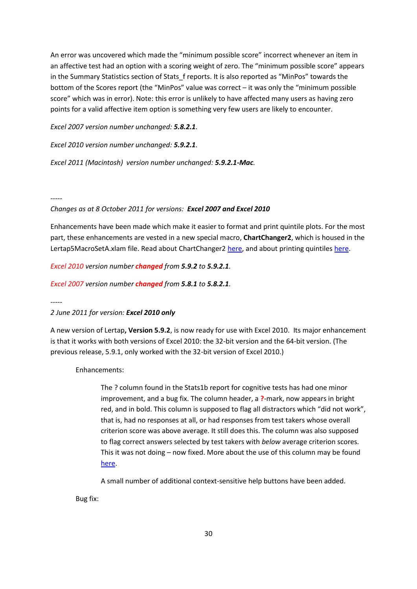An error was uncovered which made the "minimum possible score" incorrect whenever an item in an affective test had an option with a scoring weight of zero. The "minimum possible score" appears in the Summary Statistics section of Stats f reports. It is also reported as "MinPos" towards the bottom of the Scores report (the "MinPos" value was correct – it was only the "minimum possible score" which was in error). Note: this error is unlikely to have affected many users as having zero points for a valid affective item option is something very few users are likely to encounter.

*Excel 2007 version number unchanged: 5.8.2.1.*

*Excel 2010 version number unchanged: 5.9.2.1.*

*Excel 2011 (Macintosh) version number unchanged: 5.9.2.1-Mac.*

*-----*

### *Changes as at 8 October 2011 for versions: Excel 2007 and Excel 2010*

Enhancements have been made which make it easier to format and print quintile plots. For the most part, these enhancements are vested in a new special macro, **ChartChanger2**, which is housed in the Lertap5MacroSetA.xlam file. Read about ChartChanger2 [here,](http://lertap.curtin.edu.au/HTMLHelp/HTML/index.html?chartchanger2.htm) and about printing quintiles [here.](http://lertap.curtin.edu.au/HTMLHelp/Lrtp59HTML/index.html?print_quintiles.htm)

*Excel 2010 version number changed from 5.9.2 to 5.9.2.1.*

*Excel 2007 version number changed from 5.8.1 to 5.8.2.1.*

*-----*

### *2 June 2011 for version: Excel 2010 only*

A new version of Lertap**, Version 5.9.2**, is now ready for use with Excel 2010. Its major enhancement is that it works with both versions of Excel 2010: the 32-bit version and the 64-bit version. (The previous release, 5.9.1, only worked with the 32-bit version of Excel 2010.)

Enhancements:

The ? column found in the Stats1b report for cognitive tests has had one minor improvement, and a bug fix. The column header, a **?**-mark, now appears in bright red, and in bold. This column is supposed to flag all distractors which "did not work", that is, had no responses at all, or had responses from test takers whose overall criterion score was above average. It still does this. The column was also supposed to flag correct answers selected by test takers with *below* average criterion scores. This it was not doing – now fixed. More about the use of this column may be found [here.](http://lertap.curtin.edu.au/HTMLHelp/Lrtp59HTML/index.html?mathsquiz.htm)

A small number of additional context-sensitive help buttons have been added.

Bug fix: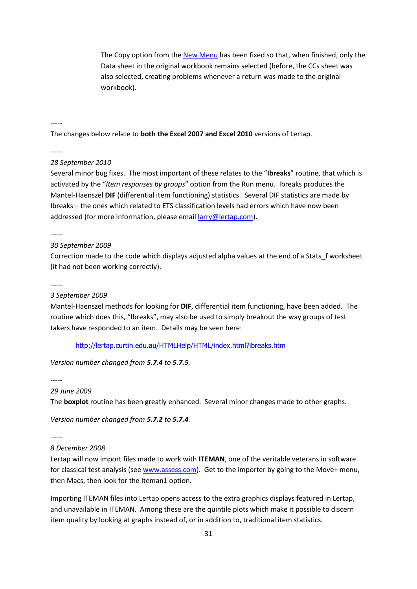The Copy option from th[e New Menu](http://lertap.curtin.edu.au/HTMLHelp/HTML/index.html?newmenu.htm) has been fixed so that, when finished, only the Data sheet in the original workbook remains selected (before, the CCs sheet was also selected, creating problems whenever a return was made to the original workbook).

-----

The changes below relate to **both the Excel 2007 and Excel 2010** versions of Lertap.

-----

### *28 September 2010*

Several minor bug fixes. The most important of these relates to the "**Ibreaks**" routine, that which is activated by the "*Item responses by groups*" option from the Run menu. Ibreaks produces the Mantel-Haenszel **DIF** (differential item functioning) statistics. Several DIF statistics are made by Ibreaks – the ones which related to ETS classification levels had errors which have now been addressed (for more information, please emai[l larry@lertap.com\)](mailto:larry@lertap.com).

-----

### *30 September 2009*

Correction made to the code which displays adjusted alpha values at the end of a Stats\_f worksheet (it had not been working correctly).

-----

*3 September 2009* 

Mantel-Haenszel methods for looking for **DIF**, differential item functioning, have been added. The routine which does this, "Ibreaks", may also be used to simply breakout the way groups of test takers have responded to an item. Details may be seen here:

<http://lertap.curtin.edu.au/HTMLHelp/HTML/index.html?ibreaks.htm>

*Version number changed from 5.7.4 to 5.7.5.*

# -----

### *29 June 2009*

The **boxplot** routine has been greatly enhanced. Several minor changes made to other graphs.

*Version number changed from 5.7.2 to 5.7.4.*

-----

## *8 December 2008*

Lertap will now import files made to work with **ITEMAN**, one of the veritable veterans in software for classical test analysis (see [www.assess.com\)](http://www.assess.com/). Get to the importer by going to the Move+ menu, then Macs, then look for the Iteman1 option.

Importing ITEMAN files into Lertap opens access to the extra graphics displays featured in Lertap, and unavailable in ITEMAN. Among these are the quintile plots which make it possible to discern item quality by looking at graphs instead of, or in addition to, traditional item statistics.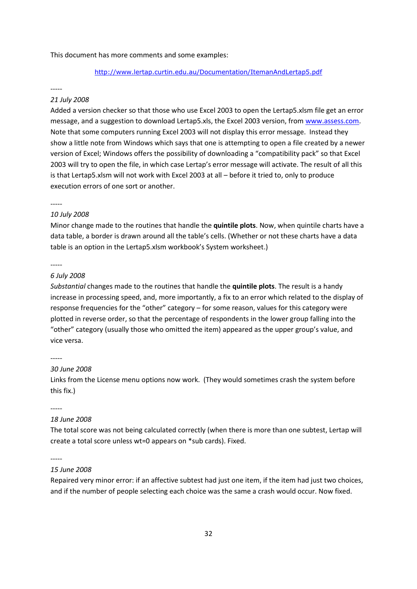#### This document has more comments and some examples:

## <http://www.lertap.curtin.edu.au/Documentation/ItemanAndLertap5.pdf>

### -----

## *21 July 2008*

Added a version checker so that those who use Excel 2003 to open the Lertap5.xlsm file get an error message, and a suggestion to download Lertap5.xls, the Excel 2003 version, from [www.assess.com.](http://www.assess.com/) Note that some computers running Excel 2003 will not display this error message. Instead they show a little note from Windows which says that one is attempting to open a file created by a newer version of Excel; Windows offers the possibility of downloading a "compatibility pack" so that Excel 2003 will try to open the file, in which case Lertap's error message will activate. The result of all this is that Lertap5.xlsm will not work with Excel 2003 at all – before it tried to, only to produce execution errors of one sort or another.

### -----

#### *10 July 2008*

Minor change made to the routines that handle the **quintile plots**. Now, when quintile charts have a data table, a border is drawn around all the table's cells. (Whether or not these charts have a data table is an option in the Lertap5.xlsm workbook's System worksheet.)

#### -----

#### *6 July 2008*

*Substantial* changes made to the routines that handle the **quintile plots**. The result is a handy increase in processing speed, and, more importantly, a fix to an error which related to the display of response frequencies for the "other" category – for some reason, values for this category were plotted in reverse order, so that the percentage of respondents in the lower group falling into the "other" category (usually those who omitted the item) appeared as the upper group's value, and vice versa.

### -----

#### *30 June 2008*

Links from the License menu options now work. (They would sometimes crash the system before this fix.)

-----

## *18 June 2008*

The total score was not being calculated correctly (when there is more than one subtest, Lertap will create a total score unless wt=0 appears on \*sub cards). Fixed.

-----

#### *15 June 2008*

Repaired very minor error: if an affective subtest had just one item, if the item had just two choices, and if the number of people selecting each choice was the same a crash would occur. Now fixed.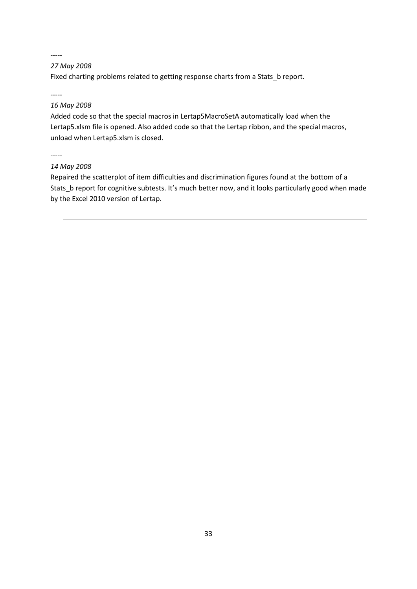# *27 May 2008*

Fixed charting problems related to getting response charts from a Stats\_b report.

-----

## *16 May 2008*

Added code so that the special macros in Lertap5MacroSetA automatically load when the Lertap5.xlsm file is opened. Also added code so that the Lertap ribbon, and the special macros, unload when Lertap5.xlsm is closed.

-----

## *14 May 2008*

<span id="page-32-0"></span>Repaired the scatterplot of item difficulties and discrimination figures found at the bottom of a Stats\_b report for cognitive subtests. It's much better now, and it looks particularly good when made by the Excel 2010 version of Lertap.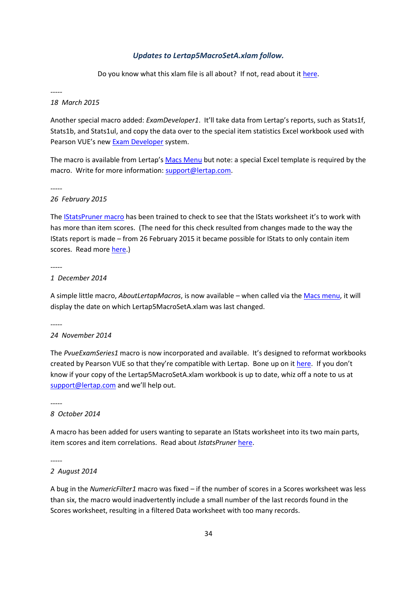## *Updates to Lertap5MacroSetA.xlam follow.*

Do you know what this xlam file is all about? If not, read about it [here.](http://larrynelsonstuff.com/HTMLHelp/HTML/index.html?macs_menu.htm)

*-----*

## *18 March 2015*

<span id="page-33-0"></span>Another special macro added: *ExamDeveloper1*. It'll take data from Lertap's reports, such as Stats1f, Stats1b, and Stats1ul, and copy the data over to the special item statistics Excel workbook used with Pearson VUE's new [Exam Developer](http://home.pearsonvue.com/Test-Owner/Develop-your-program/ExamDeveloper-Collaboration-platform.aspx) system.

The macro is available from Lertap's [Macs Menu](http://www.larrynelsonstuff.com/HTMLHelp/HTML/index.html?macs_menu.htm) but note: a special Excel template is required by the macro. Write for more information: [support@lertap.com.](mailto:support@lertap.com)

*-----*

### *26 February 2015*

The [IStatsPruner macro](http://www.larrynelsonstuff.com/HTMLHelp/HTML/index.html?istatspruner.htm) has been trained to check to see that the IStats worksheet it's to work with has more than item scores. (The need for this check resulted from changes made to the way the IStats report is made – from 26 February 2015 it became possible for IStats to only contain item scores. Read mor[e here.](http://www.larrynelsonstuff.com/HTMLHelp/HTML/index.html?outputitemscores.htm))

*-----*

### *1 December 2014*

A simple little macro, *AboutLertapMacros*, is now available – when called via th[e Macs menu,](http://larrynelsonstuff.com/HTMLHelp/HTML/index.html?macs_menu.htm) it will display the date on which Lertap5MacroSetA.xlam was last changed.

*-----*

### *24 November 2014*

The *PvueExamSeries1* macro is now incorporated and available. It's designed to reformat workbooks created by Pearson VUE so that they're compatible with Lertap. Bone up on i[t here.](http://larrynelsonstuff.com/HTMLHelp/HTML/index.html?pearsonvue.htm) If you don't know if your copy of the Lertap5MacroSetA.xlam workbook is up to date, whiz off a note to us at [support@lertap.com](mailto:support@lertap.com) and we'll help out.

*-----*

#### *8 October 2014*

A macro has been added for users wanting to separate an IStats worksheet into its two main parts, item scores and item correlations. Read about *IstatsPruner* [here.](http://larrynelsonstuff.com/HTMLHelp/HTML/index.html?istatspruner.htm)

*-----*

## *2 August 2014*

A bug in the *NumericFilter1* macro was fixed – if the number of scores in a Scores worksheet was less than six, the macro would inadvertently include a small number of the last records found in the Scores worksheet, resulting in a filtered Data worksheet with too many records.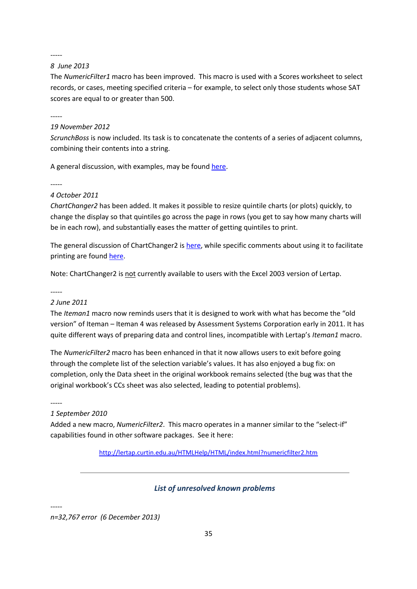## *8 June 2013*

The *NumericFilter1* macro has been improved. This macro is used with a Scores worksheet to select records, or cases, meeting specified criteria – for example, to select only those students whose SAT scores are equal to or greater than 500.

-----

## *19 November 2012*

*ScrunchBoss* is now included. Its task is to concatenate the contents of a series of adjacent columns, combining their contents into a string.

A general discussion, with examples, may be found [here.](http://lertap.curtin.edu.au/HTMLHelp/HTML/index.html?scrunchboss.htm)

-----

## *4 October 2011*

*ChartChanger2* has been added. It makes it possible to resize quintile charts (or plots) quickly, to change the display so that quintiles go across the page in rows (you get to say how many charts will be in each row), and substantially eases the matter of getting quintiles to print.

The general discussion of ChartChanger2 is [here,](http://lertap.curtin.edu.au/HTMLHelp/HTML/index.html?chartchanger2.htm) while specific comments about using it to facilitate printing are foun[d here.](http://lertap.curtin.edu.au/HTMLHelp/Lrtp59HTML/index.html?print_quintiles.htm)

Note: ChartChanger2 is not currently available to users with the Excel 2003 version of Lertap.

### *-----*

## *2 June 2011*

The *Iteman1* macro now reminds users that it is designed to work with what has become the "old version" of Iteman – Iteman 4 was released by Assessment Systems Corporation early in 2011. It has quite different ways of preparing data and control lines, incompatible with Lertap's *Iteman1* macro.

The *NumericFilter2* macro has been enhanced in that it now allows users to exit before going through the complete list of the selection variable's values. It has also enjoyed a bug fix: on completion, only the Data sheet in the original workbook remains selected (the bug was that the original workbook's CCs sheet was also selected, leading to potential problems).

-----

### *1 September 2010*

Added a new macro, *NumericFilter2*. This macro operates in a manner similar to the "select-if" capabilities found in other software packages. See it here:

<http://lertap.curtin.edu.au/HTMLHelp/HTML/index.html?numericfilter2.htm>

## *List of unresolved known problems*

-----

*n=32,767 error (6 December 2013)*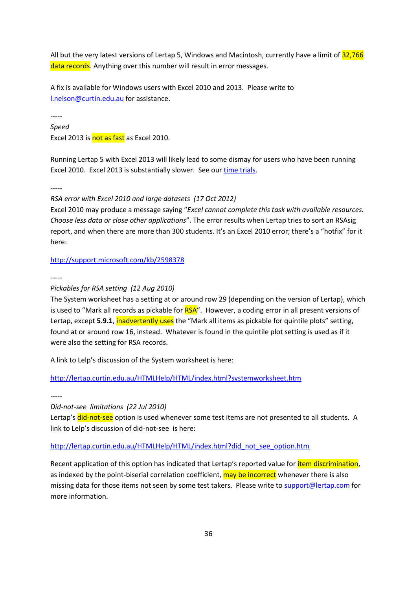All but the very latest versions of Lertap 5, Windows and Macintosh, currently have a limit of 32,766 data records. Anything over this number will result in error messages.

A fix is available for Windows users with Excel 2010 and 2013. Please write to [l.nelson@curtin.edu.au](mailto:l.nelson@curtin.edu.au) for assistance.

-----

*Speed* Excel 2013 is not as fast as Excel 2010.

Running Lertap 5 with Excel 2013 will likely lead to some dismay for users who have been running Excel 2010. Excel 2013 is substantially slower. See ou[r time trials.](http://lertap.curtin.edu.au/Documentation/TimeTrials2010to2013.pdf)

-----

*RSA error with Excel 2010 and large datasets (17 Oct 2012)*

Excel 2010 may produce a message saying "*Excel cannot complete this task with available resources. Choose less data or close other applications*". The error results when Lertap tries to sort an RSAsig report, and when there are more than 300 students. It's an Excel 2010 error; there's a "hotfix" for it here:

<http://support.microsoft.com/kb/2598378>

-----

# *Pickables for RSA setting (12 Aug 2010)*

The System worksheet has a setting at or around row 29 (depending on the version of Lertap), which is used to "Mark all records as pickable for **RSA**". However, a coding error in all present versions of Lertap, except **5.9.1**, inadvertently uses the "Mark all items as pickable for quintile plots" setting, found at or around row 16, instead. Whatever is found in the quintile plot setting is used as if it were also the setting for RSA records.

A link to Lelp's discussion of the System worksheet is here:

<http://lertap.curtin.edu.au/HTMLHelp/HTML/index.html?systemworksheet.htm>

-----

*Did-not-see limitations (22 Jul 2010)*

Lertap's did-not-see option is used whenever some test items are not presented to all students. A link to Lelp's discussion of did-not-see is here:

# [http://lertap.curtin.edu.au/HTMLHelp/HTML/index.html?did\\_not\\_see\\_option.htm](http://lertap.curtin.edu.au/HTMLHelp/HTML/index.html?did_not_see_option.htm)

Recent application of this option has indicated that Lertap's reported value for *item discrimination*, as indexed by the point-biserial correlation coefficient, may be incorrect whenever there is also missing data for those items not seen by some test takers. Please write to [support@lertap.com](mailto:support@lertap.com) for more information.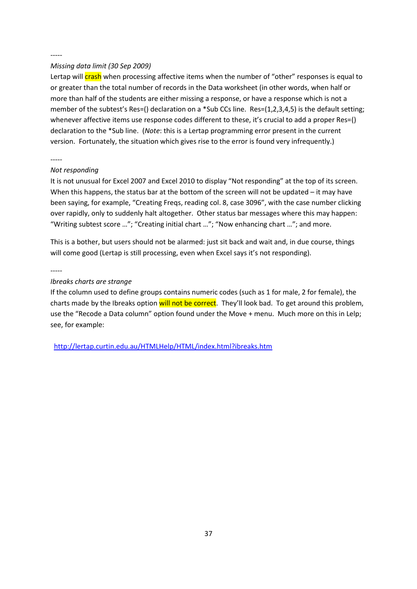## *Missing data limit (30 Sep 2009)*

Lertap will crash when processing affective items when the number of "other" responses is equal to or greater than the total number of records in the Data worksheet (in other words, when half or more than half of the students are either missing a response, or have a response which is not a member of the subtest's Res=() declaration on a \*Sub CCs line. Res=(1,2,3,4,5) is the default setting; whenever affective items use response codes different to these, it's crucial to add a proper Res=() declaration to the \*Sub line. (*Note*: this is a Lertap programming error present in the current version. Fortunately, the situation which gives rise to the error is found very infrequently.)

## -----

## *Not responding*

It is not unusual for Excel 2007 and Excel 2010 to display "Not responding" at the top of its screen. When this happens, the status bar at the bottom of the screen will not be updated – it may have been saying, for example, "Creating Freqs, reading col. 8, case 3096", with the case number clicking over rapidly, only to suddenly halt altogether. Other status bar messages where this may happen: "Writing subtest score …"; "Creating initial chart …"; "Now enhancing chart …"; and more.

This is a bother, but users should not be alarmed: just sit back and wait and, in due course, things will come good (Lertap is still processing, even when Excel says it's not responding).

### -----

## *Ibreaks charts are strange*

If the column used to define groups contains numeric codes (such as 1 for male, 2 for female), the charts made by the Ibreaks option will not be correct. They'll look bad. To get around this problem, use the "Recode a Data column" option found under the Move + menu. Much more on this in Lelp; see, for example:

<http://lertap.curtin.edu.au/HTMLHelp/HTML/index.html?ibreaks.htm>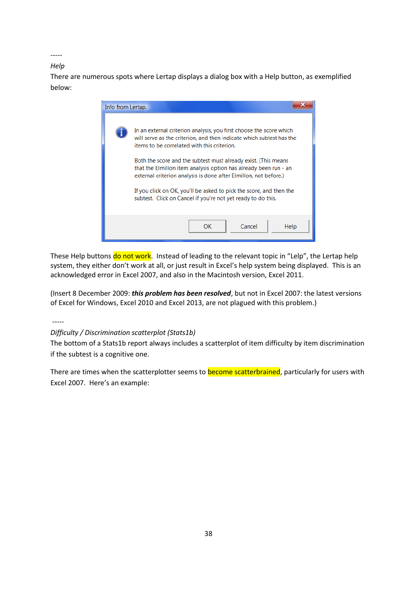*Help*

There are numerous spots where Lertap displays a dialog box with a Help button, as exemplified below:



These Help buttons do not work. Instead of leading to the relevant topic in "Lelp", the Lertap help system, they either don't work at all, or just result in Excel's help system being displayed. This is an acknowledged error in Excel 2007, and also in the Macintosh version, Excel 2011.

(Insert 8 December 2009: *this problem has been resolved*, but not in Excel 2007: the latest versions of Excel for Windows, Excel 2010 and Excel 2013, are not plagued with this problem.)

-----

# *Difficulty / Discrimination scatterplot (Stats1b)*

The bottom of a Stats1b report always includes a scatterplot of item difficulty by item discrimination if the subtest is a cognitive one.

There are times when the scatterplotter seems to **become scatterbrained**, particularly for users with Excel 2007. Here's an example: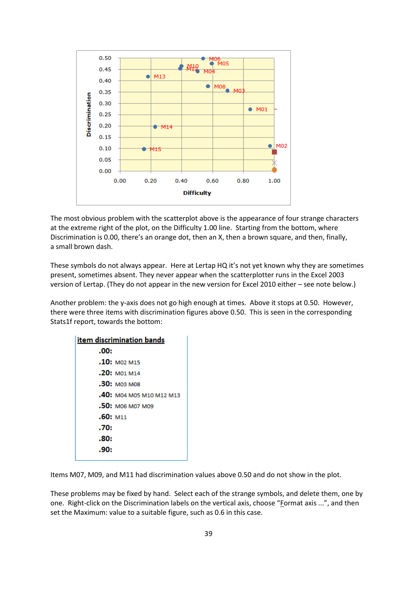

The most obvious problem with the scatterplot above is the appearance of four strange characters at the extreme right of the plot, on the Difficulty 1.00 line. Starting from the bottom, where Discrimination is 0.00, there's an orange dot, then an X, then a brown square, and then, finally, a small brown dash.

These symbols do not always appear. Here at Lertap HQ it's not yet known why they are sometimes present, sometimes absent. They never appear when the scatterplotter runs in the Excel 2003 version of Lertap. (They do not appear in the new version for Excel 2010 either – see note below.)

Another problem: the y-axis does not go high enough at times. Above it stops at 0.50. However, there were three items with discrimination figures above 0.50. This is seen in the corresponding Stats1f report, towards the bottom:

| <u>item discrimination bands</u> |                          |  |  |  |  |  |  |
|----------------------------------|--------------------------|--|--|--|--|--|--|
| .00:                             |                          |  |  |  |  |  |  |
|                                  | $.10:$ MO2 M15           |  |  |  |  |  |  |
|                                  | .20: M01 M14             |  |  |  |  |  |  |
|                                  | .30: моз мов             |  |  |  |  |  |  |
|                                  | .40: M04 M05 M10 M12 M13 |  |  |  |  |  |  |
|                                  | .50: MO6 M07 M09         |  |  |  |  |  |  |
| $.60:$ M11                       |                          |  |  |  |  |  |  |
| .70:                             |                          |  |  |  |  |  |  |
| .80:                             |                          |  |  |  |  |  |  |
| .90:                             |                          |  |  |  |  |  |  |
|                                  |                          |  |  |  |  |  |  |

Items M07, M09, and M11 had discrimination values above 0.50 and do not show in the plot.

These problems may be fixed by hand. Select each of the strange symbols, and delete them, one by one. Right-click on the Discrimination labels on the vertical axis, choose "Format axis ...", and then set the Maximum: value to a suitable figure, such as 0.6 in this case.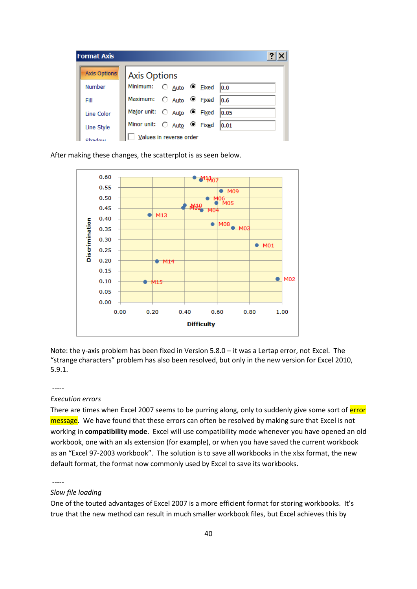| <b>Format Axis</b>      |                                 |  |  |      |  |  |  |
|-------------------------|---------------------------------|--|--|------|--|--|--|
| <b>Axis Options</b>     | <b>Axis Options</b>             |  |  |      |  |  |  |
| <b>Number</b>           | Minimum: C Auto C Eixed 0.0     |  |  |      |  |  |  |
| Fill                    | Maximum: C Auto C Fixed 0.6     |  |  |      |  |  |  |
| Line Color              | Major unit: C Auto C Fixed      |  |  | 0.05 |  |  |  |
| Line Style              | Minor unit: C Auto C Fixed 0.01 |  |  |      |  |  |  |
| Values in reverse order |                                 |  |  |      |  |  |  |

After making these changes, the scatterplot is as seen below.



Note: the y-axis problem has been fixed in Version 5.8.0 – it was a Lertap error, not Excel. The "strange characters" problem has also been resolved, but only in the new version for Excel 2010, 5.9.1.

#### -----

## *Execution errors*

There are times when Excel 2007 seems to be purring along, only to suddenly give some sort of error message. We have found that these errors can often be resolved by making sure that Excel is not working in **compatibility mode**. Excel will use compatibility mode whenever you have opened an old workbook, one with an xls extension (for example), or when you have saved the current workbook as an "Excel 97-2003 workbook". The solution is to save all workbooks in the xlsx format, the new default format, the format now commonly used by Excel to save its workbooks.

-----

## *Slow file loading*

One of the touted advantages of Excel 2007 is a more efficient format for storing workbooks. It's true that the new method can result in much smaller workbook files, but Excel achieves this by